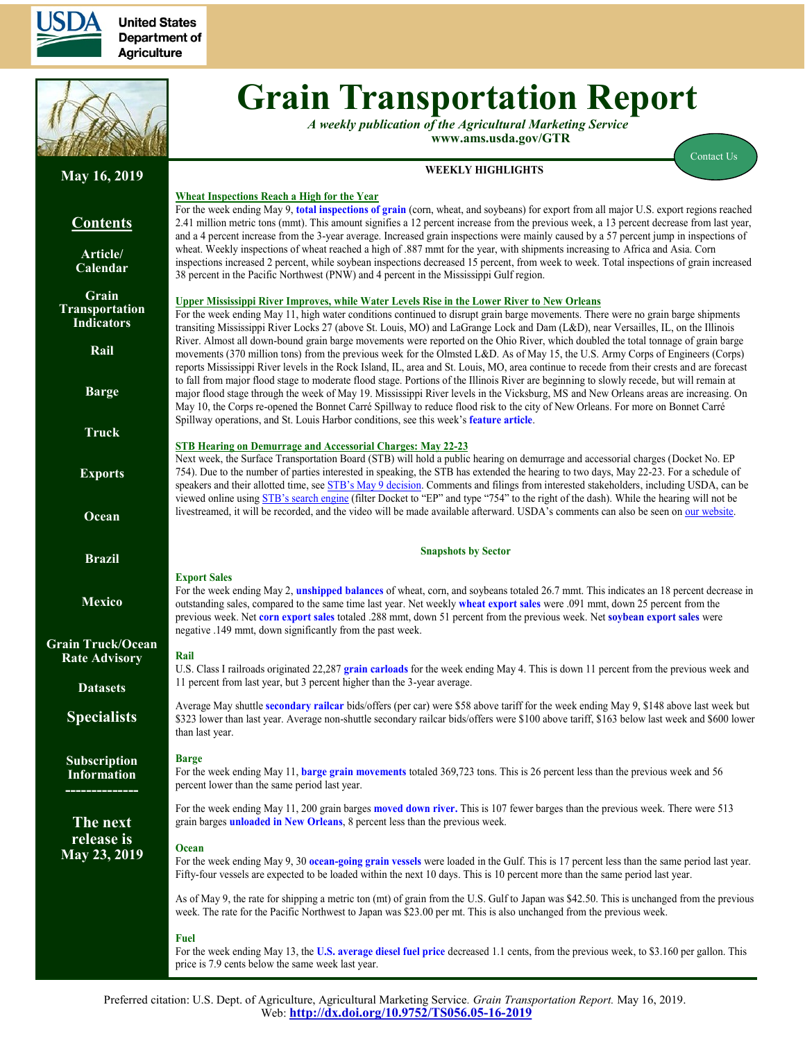

**United States Department of Agriculture** 



# **Grain Transportation Report**

*A weekly publication of the Agricultural Marketing Service*  **www.ams.usda.gov/GTR**

For the week ending May 9, **[total inspections of grain](#page-16-0)** (corn, wheat, and soybeans) for export from all major U.S. export regions reached

#### **WEEKLY HIGHLIGHTS**

[Contact Us](mailto:Surajudeen.Olowolayemo@ams.usda.gov) 

# **May 16, 2019**

# **Contents**

**[Article/](#page-1-0) [Calendar](#page-1-0)**

**[Grain](#page-2-0) [Transportation](#page-2-0) [Indicators](#page-2-0)**

**[Rail](#page-4-0)**

**[Barge](#page-10-0)**

**[Truck](#page-13-0)**

**[Exports](#page-14-0)**

**[Ocean](#page-18-0)**

**[Brazil](https://www.ams.usda.gov/services/transportation-analysis/brazil)**

**[Mexico](https://www.ams.usda.gov/services/transportation-analysis/mexico)**

**[Grain Truck/Ocean](https://www.ams.usda.gov/services/transportation-analysis/gtor) [Rate Advisory](https://www.ams.usda.gov/services/transportation-analysis/gtor)**

**[Datase](https://www.ams.usda.gov/services/transportation-analysis/gtr-datasets)ts**

**[Specialists](#page-21-0)**

**[Subscription](#page-21-0)  [Information](#page-21-0)**

**--------------**

**The next release is May 23, 2019**

2.41 million metric tons (mmt). This amount signifies a 12 percent increase from the previous week, a 13 percent decrease from last year, and a 4 percent increase from the 3-year average. Increased grain inspections were mainly caused by a 57 percent jump in inspections of wheat. Weekly inspections of wheat reached a high of .887 mmt for the year, with shipments increasing to Africa and Asia. Corn inspections increased 2 percent, while soybean inspections decreased 15 percent, from week to week. Total inspections of grain increased 38 percent in the Pacific Northwest (PNW) and 4 percent in the Mississippi Gulf region. **Upper Mississippi River Improves, while Water Levels Rise in the Lower River to New Orleans** For the week ending May 11, high water conditions continued to disrupt grain barge movements. There were no grain barge shipments transiting Mississippi River Locks 27 (above St. Louis, MO) and LaGrange Lock and Dam (L&D), near Versailles, IL, on the Illinois River. Almost all down-bound grain barge movements were reported on the Ohio River, which doubled the total tonnage of grain barge movements (370 million tons) from the previous week for the Olmsted L&D. As of May 15, the U.S. Army Corps of Engineers (Corps) reports Mississippi River levels in the Rock Island, IL, area and St. Louis, MO, area continue to recede from their crests and are forecast to fall from major flood stage to moderate flood stage. Portions of the Illinois River are beginning to slowly recede, but will remain at major flood stage through the week of May 19. Mississippi River levels in the Vicksburg, MS and New Orleans areas are increasing. On

## **STB Hearing on Demurrage and Accessorial Charges: May 22-23**

Spillway operations, and St. Louis Harbor conditions, see this week's **[feature article](#page-1-1)**.

**Wheat Inspections Reach a High for the Year** 

Next week, the Surface Transportation Board (STB) will hold a public hearing on demurrage and accessorial charges (Docket No. EP 754). Due to the number of parties interested in speaking, the STB has extended the hearing to two days, May 22-23. For a schedule of speakers and their allotted time, see [STB's May 9 decision](https://www.stb.gov/Decisions/readingroom.nsf/UNID/8891D951E256B36E852583D6006D168C/$file/46951.pdf). Comments and filings from interested stakeholders, including USDA, can be viewed online using STB's [search engine](https://www.stb.gov/home.nsf/EnhancedSearch?OpenForm&Type=F) (filter Docket to "EP" and type "754" to the right of the dash). While the hearing will not be livestreamed, it will be recorded, and the video will be made available afterward. USDA's comments can also be seen on [our website.](https://www.ams.usda.gov/sites/default/files/media/05082019USDACommentsinSTBExParte754OversightHearingonDemurrageandAccessorialCharges.pdf)

May 10, the Corps re-opened the Bonnet Carré Spillway to reduce flood risk to the city of New Orleans. For more on Bonnet Carré

#### **Snapshots by Sector**

#### **Export Sales** For the week ending May 2, **[unshipped balances](#page-14-1)** of wheat, corn, and soybeans totaled 26.7 mmt. This indicates an 18 percent decrease in outstanding sales, compared to the same time last year. Net weekly **[wheat export sales](#page-15-0)** were .091 mmt, down 25 percent from the previous week. Net **[corn export sales](#page-14-1)** totaled .288 mmt, down 51 percent from the previous week. Net **[soybean export sales](#page-15-0)** were negative .149 mmt, down significantly from the past week.

**Rail**

U.S. Class I railroads originated 22,287 **[grain carloads](#page-4-1)** for the week ending May 4. This is down 11 percent from the previous week and 11 percent from last year, but 3 percent higher than the 3-year average.

Average May shuttle **[secondary railcar](#page-6-0)** bids/offers (per car) were \$58 above tariff for the week ending May 9, \$148 above last week but \$323 lower than last year. Average non-shuttle secondary railcar bids/offers were \$100 above tariff, \$163 below last week and \$600 lower than last year.

## **Barge**

For the week ending May 11, **[barge grain movements](#page-11-0)** totaled 369,723 tons. This is 26 percent less than the previous week and 56 percent lower than the same period last year.

For the week ending May 11, 200 grain barges **[moved down river.](#page-12-0)** This is 107 fewer barges than the previous week. There were 513 grain barges **[unloaded in New Orleans](#page-12-0)**, 8 percent less than the previous week.

## **Ocean**

For the week ending May 9, 30 **[ocean-going grain vessels](#page-18-1)** were loaded in the Gulf. This is 17 percent less than the same period last year. Fifty-four vessels are expected to be loaded within the next 10 days. This is 10 percent more than the same period last year.

As of May 9, the rate for shipping a metric ton (mt) of grain from the U.S. Gulf to Japan was \$42.50. This is unchanged from the previous week. The rate for the Pacific Northwest to Japan was \$23.00 per mt. This is also unchanged from the previous week.

#### **Fuel**

For the week ending May 13, the **[U.S. average diesel fuel price](#page-13-1)** decreased 1.1 cents, from the previous week, to \$3.160 per gallon. This price is 7.9 cents below the same week last year.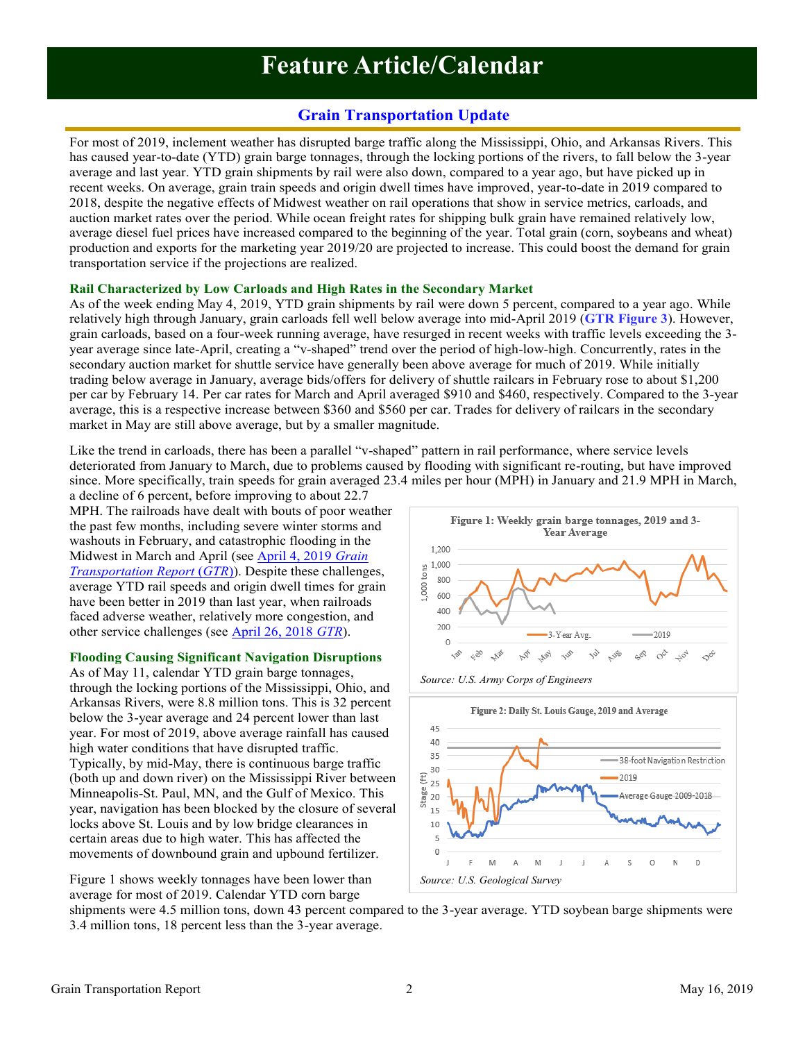# **Feature Article/Calendar**

# **Grain Transportation Update**

<span id="page-1-1"></span><span id="page-1-0"></span>For most of 2019, inclement weather has disrupted barge traffic along the Mississippi, Ohio, and Arkansas Rivers. This has caused year-to-date (YTD) grain barge tonnages, through the locking portions of the rivers, to fall below the 3-year average and last year. YTD grain shipments by rail were also down, compared to a year ago, but have picked up in recent weeks. On average, grain train speeds and origin dwell times have improved, year-to-date in 2019 compared to 2018, despite the negative effects of Midwest weather on rail operations that show in service metrics, carloads, and auction market rates over the period. While ocean freight rates for shipping bulk grain have remained relatively low, average diesel fuel prices have increased compared to the beginning of the year. Total grain (corn, soybeans and wheat) production and exports for the marketing year 2019/20 are projected to increase. This could boost the demand for grain transportation service if the projections are realized.

## **Rail Characterized by Low Carloads and High Rates in the Secondary Market**

As of the week ending May 4, 2019, YTD grain shipments by rail were down 5 percent, compared to a year ago. While relatively high through January, grain carloads fell well below average into mid-April 2019 (**[GTR Figure 3](#page-5-0)**). However, grain carloads, based on a four-week running average, have resurged in recent weeks with traffic levels exceeding the 3 year average since late-April, creating a "v-shaped" trend over the period of high-low-high. Concurrently, rates in the secondary auction market for shuttle service have generally been above average for much of 2019. While initially trading below average in January, average bids/offers for delivery of shuttle railcars in February rose to about \$1,200 per car by February 14. Per car rates for March and April averaged \$910 and \$460, respectively. Compared to the 3-year average, this is a respective increase between \$360 and \$560 per car. Trades for delivery of railcars in the secondary market in May are still above average, but by a smaller magnitude.

Like the trend in carloads, there has been a parallel "v-shaped" pattern in rail performance, where service levels deteriorated from January to March, due to problems caused by flooding with significant re-routing, but have improved since. More specifically, train speeds for grain averaged 23.4 miles per hour (MPH) in January and 21.9 MPH in March,

a decline of 6 percent, before improving to about 22.7 MPH. The railroads have dealt with bouts of poor weather the past few months, including severe winter storms and washouts in February, and catastrophic flooding in the Midwest in March and April (see [April 4, 2019](https://www.ams.usda.gov/sites/default/files/media/GTR04042019.pdf) *Grain [Transportation Report](https://www.ams.usda.gov/sites/default/files/media/GTR04042019.pdf)* (*GTR*)). Despite these challenges, average YTD rail speeds and origin dwell times for grain have been better in 2019 than last year, when railroads faced adverse weather, relatively more congestion, and other service challenges (see [April 26, 2018](https://www.ams.usda.gov/sites/default/files/media/GTR04262018.pdf) *GTR*).

## **Flooding Causing Significant Navigation Disruptions**

As of May 11, calendar YTD grain barge tonnages, through the locking portions of the Mississippi, Ohio, and Arkansas Rivers, were 8.8 million tons. This is 32 percent below the 3-year average and 24 percent lower than last year. For most of 2019, above average rainfall has caused high water conditions that have disrupted traffic. Typically, by mid-May, there is continuous barge traffic (both up and down river) on the Mississippi River between Minneapolis-St. Paul, MN, and the Gulf of Mexico. This year, navigation has been blocked by the closure of several locks above St. Louis and by low bridge clearances in certain areas due to high water. This has affected the movements of downbound grain and upbound fertilizer.

Figure 1 shows weekly tonnages have been lower than average for most of 2019. Calendar YTD corn barge







shipments were 4.5 million tons, down 43 percent compared to the 3-year average. YTD soybean barge shipments were 3.4 million tons, 18 percent less than the 3-year average.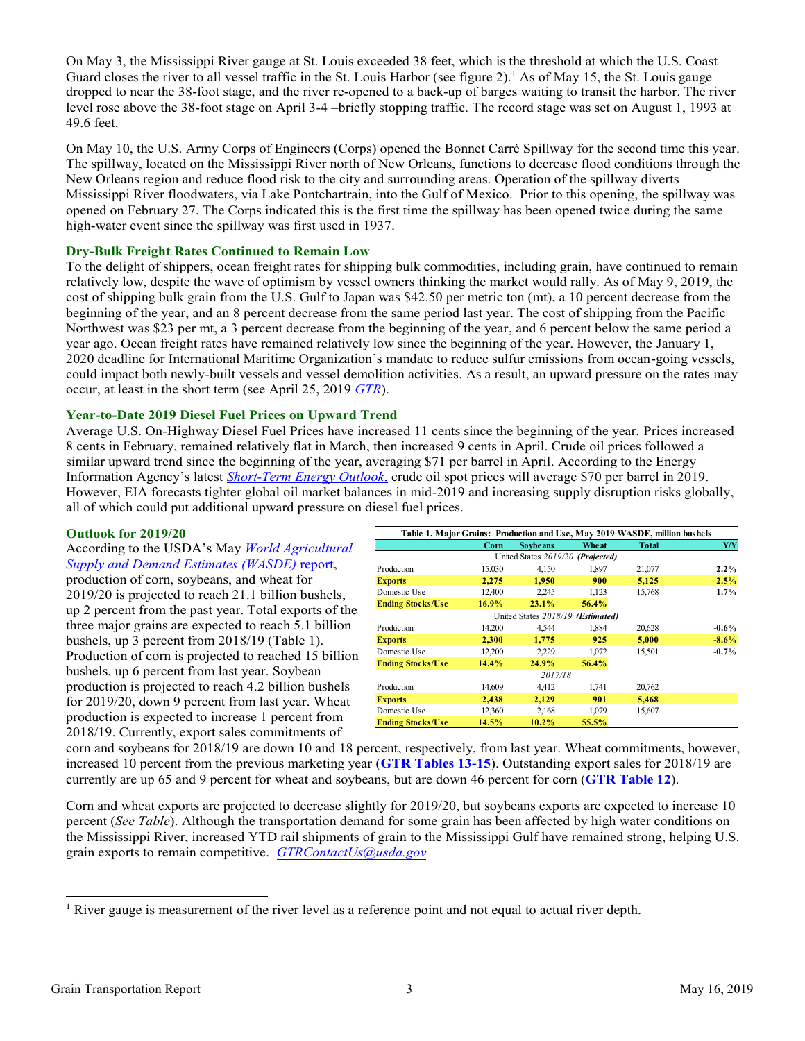<span id="page-2-0"></span>On May 3, the Mississippi River gauge at St. Louis exceeded 38 feet, which is the threshold at which the U.S. Coast Guard closes the river to all vessel traffic in the St. Louis Harbor (see figure 2).<sup>1</sup> As of May 15, the St. Louis gauge dropped to near the 38-foot stage, and the river re-opened to a back-up of barges waiting to transit the harbor. The river level rose above the 38-foot stage on April 3-4 –briefly stopping traffic. The record stage was set on August 1, 1993 at 49.6 feet.

On May 10, the U.S. Army Corps of Engineers (Corps) opened the Bonnet Carré Spillway for the second time this year. The spillway, located on the Mississippi River north of New Orleans, functions to decrease flood conditions through the New Orleans region and reduce flood risk to the city and surrounding areas. Operation of the spillway diverts Mississippi River floodwaters, via Lake Pontchartrain, into the Gulf of Mexico. Prior to this opening, the spillway was opened on February 27. The Corps indicated this is the first time the spillway has been opened twice during the same high-water event since the spillway was first used in 1937.

## **Dry-Bulk Freight Rates Continued to Remain Low**

To the delight of shippers, ocean freight rates for shipping bulk commodities, including grain, have continued to remain relatively low, despite the wave of optimism by vessel owners thinking the market would rally. As of May 9, 2019, the cost of shipping bulk grain from the U.S. Gulf to Japan was \$42.50 per metric ton (mt), a 10 percent decrease from the beginning of the year, and an 8 percent decrease from the same period last year. The cost of shipping from the Pacific Northwest was \$23 per mt, a 3 percent decrease from the beginning of the year, and 6 percent below the same period a year ago. Ocean freight rates have remained relatively low since the beginning of the year. However, the January 1, 2020 deadline for International Maritime Organization's mandate to reduce sulfur emissions from ocean-going vessels, could impact both newly-built vessels and vessel demolition activities. As a result, an upward pressure on the rates may occur, at least in the short term (see April 25, 2019 *[GTR](https://www.ams.usda.gov/sites/default/files/media/GTR04252019.pdf)*).

## **Year-to-Date 2019 Diesel Fuel Prices on Upward Trend**

Average U.S. On-Highway Diesel Fuel Prices have increased 11 cents since the beginning of the year. Prices increased 8 cents in February, remained relatively flat in March, then increased 9 cents in April. Crude oil prices followed a similar upward trend since the beginning of the year, averaging \$71 per barrel in April. According to the Energy Information Agency's latest *[Short-Term Energy Outlook](https://www.eia.gov/outlooks/steo/)*, crude oil spot prices will average \$70 per barrel in 2019. However, EIA forecasts tighter global oil market balances in mid-2019 and increasing supply disruption risks globally, all of which could put additional upward pressure on diesel fuel prices.

## **Outlook for 2019/20**

According to the USDA's May *[World Agricultural](https://www.usda.gov/oce/commodity/wasde/wasde0519.pdf)  [Supply and Demand Estimates](https://www.usda.gov/oce/commodity/wasde/wasde0519.pdf) (WASDE)* report, production of corn, soybeans, and wheat for 2019/20 is projected to reach 21.1 billion bushels, up 2 percent from the past year. Total exports of the three major grains are expected to reach 5.1 billion bushels, up 3 percent from 2018/19 (Table 1). Production of corn is projected to reached 15 billion bushels, up 6 percent from last year. Soybean production is projected to reach 4.2 billion bushels for 2019/20, down 9 percent from last year. Wheat production is expected to increase 1 percent from 2018/19. Currently, export sales commitments of

|                          | Table 1. Major Grains: Production and Use, May 2019 WASDE, million bushels |                                   |       |              |         |  |  |  |  |  |
|--------------------------|----------------------------------------------------------------------------|-----------------------------------|-------|--------------|---------|--|--|--|--|--|
|                          | Corn                                                                       | <b>Sovbeans</b>                   | Wheat | <b>Total</b> | Y/Y     |  |  |  |  |  |
|                          |                                                                            | United States 2019/20 (Projected) |       |              |         |  |  |  |  |  |
| Production               | 15,030                                                                     | 4.150                             | 1,897 | 21,077       | 2.2%    |  |  |  |  |  |
| <b>Exports</b>           | 2.275                                                                      | 1.950                             | 900   | 5,125        | 2.5%    |  |  |  |  |  |
| Domestic Use             | 12,400                                                                     | 2.245                             | 1,123 | 15,768       | 1.7%    |  |  |  |  |  |
| <b>Ending Stocks/Use</b> | 16.9%                                                                      | 23.1%                             | 56.4% |              |         |  |  |  |  |  |
|                          |                                                                            | United States 2018/19 (Estimated) |       |              |         |  |  |  |  |  |
| Production               | 14.200                                                                     | 4.544                             | 1.884 | 20,628       | $-0.6%$ |  |  |  |  |  |
| <b>Exports</b>           | 2.300                                                                      | 1.775                             | 925   | 5,000        | $-8.6%$ |  |  |  |  |  |
| Domestic Use             | 12,200                                                                     | 2,229                             | 1,072 | 15,501       | $-0.7%$ |  |  |  |  |  |
| <b>Ending Stocks/Use</b> | 14.4%                                                                      | 24.9%                             | 56.4% |              |         |  |  |  |  |  |
|                          |                                                                            | 2017/18                           |       |              |         |  |  |  |  |  |
| Production               | 14.609                                                                     | 4.412                             | 1,741 | 20,762       |         |  |  |  |  |  |
| <b>Exports</b>           | 2,438                                                                      | 2.129                             | 901   | 5,468        |         |  |  |  |  |  |
| Domestic Use             | 12,360                                                                     | 2,168                             | 1,079 | 15,607       |         |  |  |  |  |  |
| <b>Ending Stocks/Use</b> | 14.5%                                                                      | $10.2\%$                          | 55.5% |              |         |  |  |  |  |  |

corn and soybeans for 2018/19 are down 10 and 18 percent, respectively, from last year. Wheat commitments, however, increased 10 percent from the previous marketing year (**[GTR Tables 13-15](#page-14-1)**). Outstanding export sales for 2018/19 are currently are up 65 and 9 percent for wheat and soybeans, but are down 46 percent for corn (**[GTR Table 12](#page-14-1)**).

Corn and wheat exports are projected to decrease slightly for 2019/20, but soybeans exports are expected to increase 10 percent (*See Table*). Although the transportation demand for some grain has been affected by high water conditions on the Mississippi River, increased YTD rail shipments of grain to the Mississippi Gulf have remained strong, helping U.S. grain exports to remain competitive. *GTRContactUs@usda.gov*

<sup>&</sup>lt;sup>1</sup> River gauge is measurement of the river level as a reference point and not equal to actual river depth.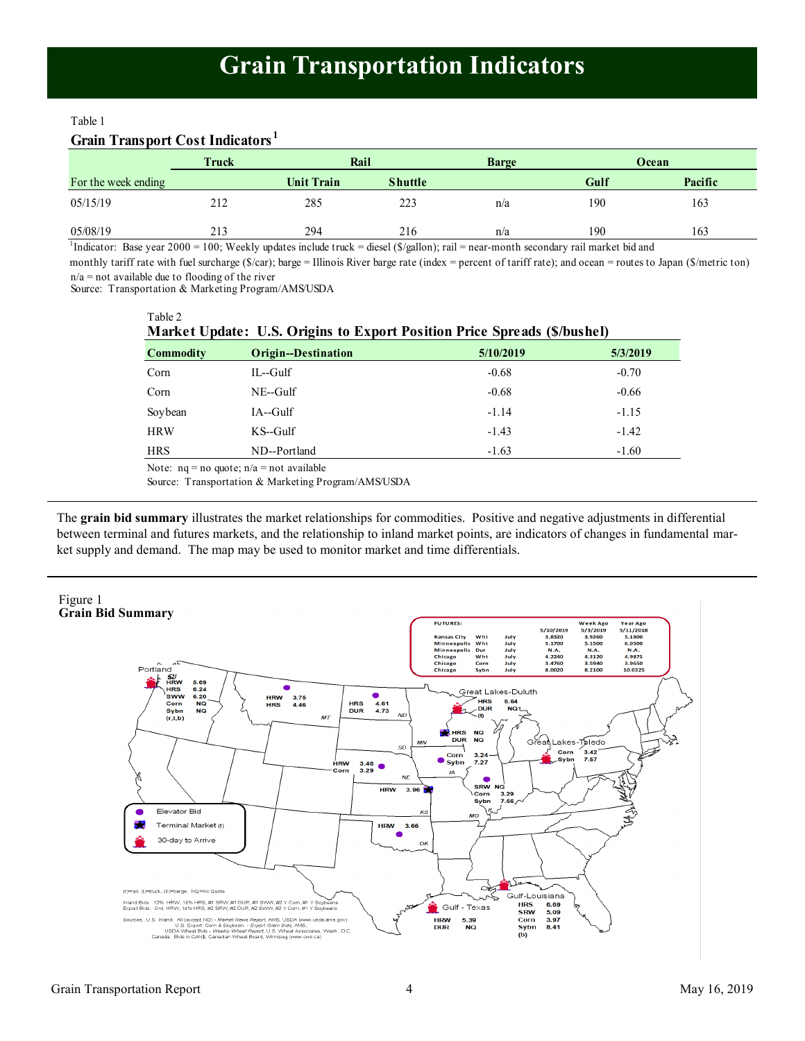# **Grain Transportation Indicators**

## Table 1

# **Grain Transport Cost Indicators <sup>1</sup>**

|                     | Truck |                   | Rail           |     |      | Ocean   |
|---------------------|-------|-------------------|----------------|-----|------|---------|
| For the week ending |       | <b>Unit Train</b> | <b>Shuttle</b> |     | Gulf | Pacific |
| 05/15/19            | 212   | 285               | 223            | n/a | 190  | 163     |
| 05/08/19            | 213   | 294               | 216            | n/a | 190  | 163     |

1 Indicator: Base year 2000 = 100; Weekly updates include truck = diesel (\$/gallon); rail = near-month secondary rail market bid and

 $n/a$  = not available due to flooding of the river monthly tariff rate with fuel surcharge (\$/car); barge = Illinois River barge rate (index = percent of tariff rate); and ocean = routes to Japan (\$/metric ton)

Source: Transportation & Marketing Program/AMS/USDA

Table 2

**Market Update: U.S. Origins to Export Position Price Spreads (\$/bushel) Commodity Origin--Destination 5/10/2019 5/3/2019**  $\mu$  IL--Gulf  $\mu$  and  $\mu$  and  $\mu$  and  $\mu$  and  $\mu$  and  $\mu$  and  $\mu$  and  $\mu$  and  $\mu$  and  $\mu$  and  $\mu$  and  $\mu$  and  $\mu$  and  $\mu$  and  $\mu$  and  $\mu$  and  $\mu$  and  $\mu$  and  $\mu$  and  $\mu$  and  $\mu$  and  $\mu$  and  $\mu$  and Corn NE--Gulf -0.68 -0.66 Soybean IA--Gulf -1.14 -1.15 HRW KS--Gulf -1.43 -1.42 HRS ND--Portland -1.63 -1.60 Note:  $nq = no$  quote;  $n/a = not$  available

Source: Transportation & Marketing Program/AMS/USDA

The **grain bid summary** illustrates the market relationships for commodities. Positive and negative adjustments in differential between terminal and futures markets, and the relationship to inland market points, are indicators of changes in fundamental market supply and demand. The map may be used to monitor market and time differentials.

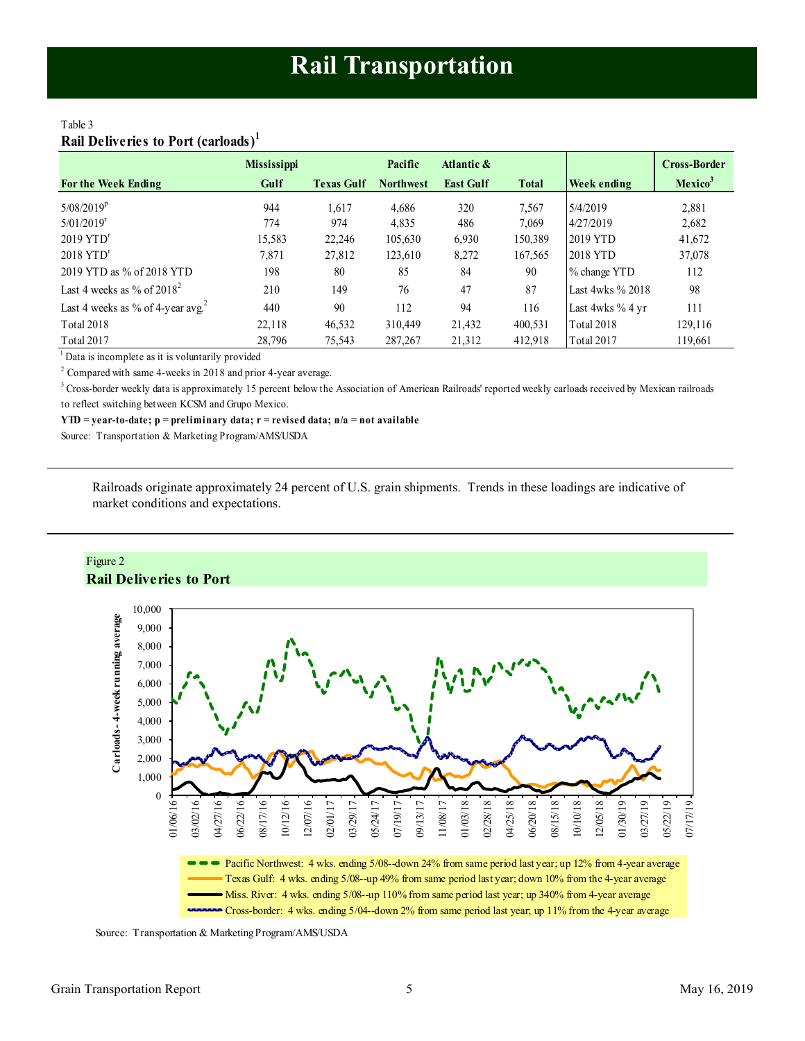## <span id="page-4-1"></span><span id="page-4-0"></span>Table 3 **Rail Deliveries to Port (carloads)<sup>1</sup>**

|                                               | <b>Mississippi</b> |                   | Pacific          | Atlantic &       |              |                        | <b>Cross-Border</b> |
|-----------------------------------------------|--------------------|-------------------|------------------|------------------|--------------|------------------------|---------------------|
| <b>For the Week Ending</b>                    | Gulf               | <b>Texas Gulf</b> | <b>Northwest</b> | <b>East Gulf</b> | <b>Total</b> | <b>Week ending</b>     | Mexico <sup>3</sup> |
| $5/08/2019^p$                                 | 944                | 1,617             | 4.686            | 320              | 7,567        | 5/4/2019               | 2,881               |
| $5/01/2019$ <sup>r</sup>                      | 774                | 974               | 4,835            | 486              | 7,069        | 4/27/2019              | 2,682               |
| $2019$ YTD <sup>r</sup>                       | 15,583             | 22,246            | 105,630          | 6,930            | 150,389      | 2019 YTD               | 41,672              |
| $2018$ YTD <sup>r</sup>                       | 7,871              | 27,812            | 123,610          | 8,272            | 167,565      | 2018 YTD               | 37,078              |
| 2019 YTD as % of 2018 YTD                     | 198                | 80                | 85               | 84               | 90           | % change YTD           | 112                 |
| Last 4 weeks as % of $2018^2$                 | 210                | 149               | 76               | 47               | 87           | Last $4w$ ks $\%$ 2018 | 98                  |
| Last 4 weeks as % of 4-year avg. <sup>2</sup> | 440                | 90                | 112              | 94               | 116          | Last 4wks % 4 yr       | 111                 |
| <b>Total 2018</b>                             | 22,118             | 46,532            | 310,449          | 21,432           | 400,531      | Total 2018             | 129,116             |
| Total 2017                                    | 28,796             | 75,543            | 287, 267         | 21,312           | 412,918      | Total 2017             | 119,661             |

<sup>1</sup> Data is incomplete as it is voluntarily provided

 $2^2$  Compared with same 4-weeks in 2018 and prior 4-year average.

<sup>3</sup> Cross-border weekly data is approximately 15 percent below the Association of American Railroads' reported weekly carloads received by Mexican railroads to reflect switching between KCSM and Grupo Mexico.

**YTD = year-to-date; p = preliminary data; r = revised data; n/a = not available**

Source: Transportation & Marketing Program/AMS/USDA

Railroads originate approximately 24 percent of U.S. grain shipments. Trends in these loadings are indicative of market conditions and expectations.



Source: Transportation & Marketing Program/AMS/USDA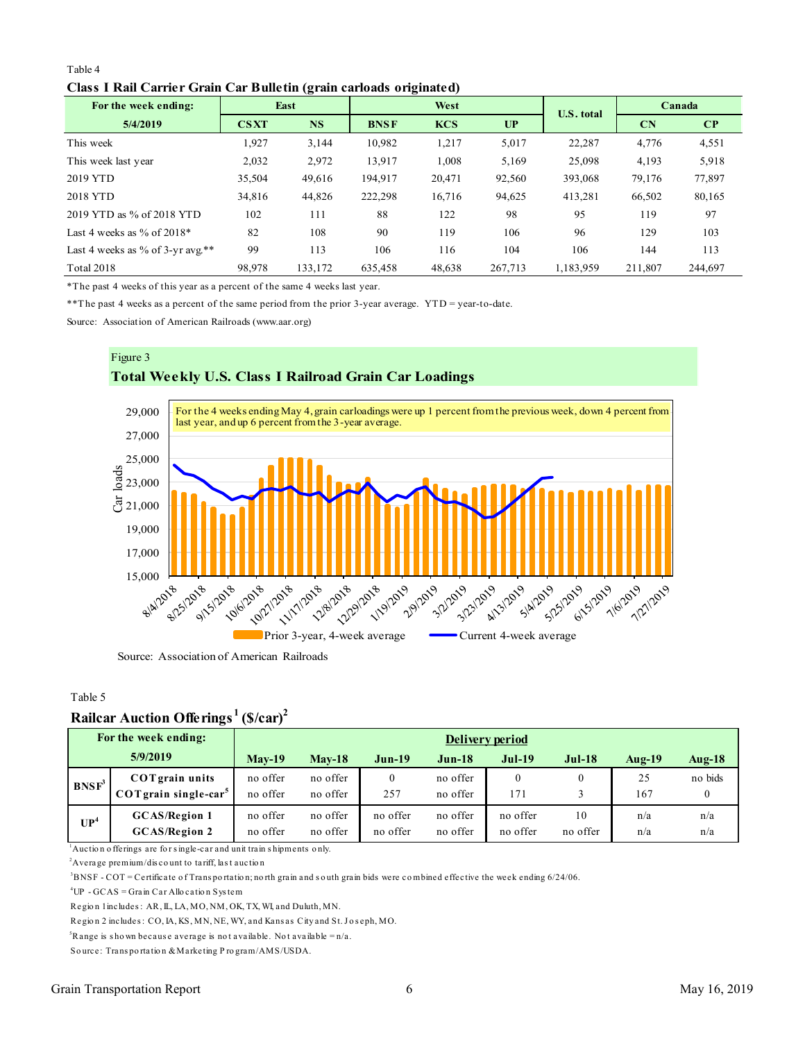## Table 4 **Class I Rail Carrier Grain Car Bulletin (grain carloads originated)**

<span id="page-5-0"></span>

| Table 4                                                             |             |           |             |            |         |            |         |         |  |  |  |
|---------------------------------------------------------------------|-------------|-----------|-------------|------------|---------|------------|---------|---------|--|--|--|
| Class I Rail Carrier Grain Car Bulletin (grain carloads originated) |             |           |             |            |         |            |         |         |  |  |  |
| For the week ending:                                                |             | East      |             | West       |         |            |         | Canada  |  |  |  |
| 5/4/2019                                                            | <b>CSXT</b> | <b>NS</b> | <b>BNSF</b> | <b>KCS</b> | UP      | U.S. total | CN      | CP      |  |  |  |
| This week                                                           | 1,927       | 3,144     | 10,982      | 1,217      | 5,017   | 22,287     | 4,776   | 4,551   |  |  |  |
| This week last year                                                 | 2,032       | 2,972     | 13,917      | 1,008      | 5,169   | 25,098     | 4,193   | 5,918   |  |  |  |
| 2019 YTD                                                            | 35,504      | 49,616    | 194.917     | 20,471     | 92,560  | 393,068    | 79,176  | 77,897  |  |  |  |
| 2018 YTD                                                            | 34,816      | 44,826    | 222,298     | 16,716     | 94,625  | 413,281    | 66,502  | 80,165  |  |  |  |
| 2019 YTD as % of 2018 YTD                                           | 102         | 111       | 88          | 122        | 98      | 95         | 119     | 97      |  |  |  |
| Last 4 weeks as $\%$ of 2018*                                       | 82          | 108       | 90          | 119        | 106     | 96         | 129     | 103     |  |  |  |
| Last 4 weeks as % of $3$ -yr avg.**                                 | 99          | 113       | 106         | 116        | 104     | 106        | 144     | 113     |  |  |  |
| <b>Total 2018</b>                                                   | 98,978      | 133,172   | 635,458     | 48,638     | 267,713 | 1,183,959  | 211,807 | 244,697 |  |  |  |

\*The past 4 weeks of this year as a percent of the same 4 weeks last year.

\*\*The past 4 weeks as a percent of the same period from the prior 3-year average. YTD = year-to-date.

Source: Association of American Railroads (www.aar.org)



Source: Association of American Railroads

#### Table 5

# **Railcar Auction Offerings <sup>1</sup>(\$/car)<sup>2</sup>**

|                   | Rançai Auction Onctings                                                                                                          | $\mathbf{w}$    |          |              |          |              |          |           |          |  |
|-------------------|----------------------------------------------------------------------------------------------------------------------------------|-----------------|----------|--------------|----------|--------------|----------|-----------|----------|--|
|                   | For the week ending:                                                                                                             | Delivery period |          |              |          |              |          |           |          |  |
|                   | 5/9/2019                                                                                                                         | $Mav-19$        | $Mav-18$ | $Jun-19$     | $Jun-18$ | $Jul-19$     | $Jul-18$ | Aug- $19$ | $Aug-18$ |  |
| BNSF <sup>3</sup> | <b>COT</b> grain units                                                                                                           | no offer        | no offer | $\mathbf{0}$ | no offer | $\mathbf{0}$ | $\theta$ | 25        | no bids  |  |
|                   | $COT$ grain single-car <sup>5</sup>                                                                                              | no offer        | no offer | 257          | no offer | 171          | 3        | 167       | $\Omega$ |  |
| UP <sup>4</sup>   | <b>GCAS/Region 1</b>                                                                                                             | no offer        | no offer | no offer     | no offer | no offer     | 10       | n/a       | n/a      |  |
|                   | <b>GCAS/Region 2</b>                                                                                                             | no offer        | no offer | no offer     | no offer | no offer     | no offer | n/a       | n/a      |  |
|                   | $\mu$ Auction offerings are for single-car and unit train shipments only.                                                        |                 |          |              |          |              |          |           |          |  |
|                   | <sup>2</sup> Average premium/discount to tariff, last auction                                                                    |                 |          |              |          |              |          |           |          |  |
|                   | $3BNSF - COT =$ Certificate of Transportation; north grain and south grain bids were combined effective the week ending 6/24/06. |                 |          |              |          |              |          |           |          |  |
|                   | <sup>4</sup> $I$ ID $CCAS - C$ roin $C_0$ r $\Lambda$ llogation Syntom                                                           |                 |          |              |          |              |          |           |          |  |

<sup>2</sup> Average premium/discount to tariff, last auction<br>
<sup>3</sup> BNSF - COT = Certificate of Transportation; north grain and south<br>
<sup>4</sup> UP - GCAS = Grain Car Allocation System<br>
Region 1 includes: AR, IL, LA, MO, NM, OK, TX, WI, Average premium/discount to tariff, last auction<br><sup>3</sup>BNSF - COT = Certificate of Transportation; north grain and south<br><sup>4</sup>UP - GCAS = Grain Car Allocation System<br>Region 1 includes : AR, IL, LA, MO, NM, OK, TX, WI, and Dulut

'BNSF - COT = Certificate of Transportation; north grain and south grain bids wer<br>'UP - GCAS = Grain Car Allocation System<br>Region 1 includes : AR, IL, LA, MO, NM, OK, TX, WI, and Duluth, MN.<br>Region 2 includes : CO, IA, KS, <sup>4</sup>UP - GCAS = Grain Car Allocation System<br>Region 1 includes : AR, IL, LA, MO, NM, OK, TX, WI, and Duluth, MN.<br>Region 2 includes : CO, IA, KS, MN, NE, WY, and Kansas City and St. Jo<br><sup>5</sup>Range is shown because average is not Region 1 includes: AR, IL, LA, MO, NM, OK, TX, WI, and Dulut<br>Region 2 includes: CO, IA, KS, MN, NE, WY, and Kansas City<br><sup>5</sup>Range is shown because average is not available. Not avail<br>Source: Transportation & Marketing Progr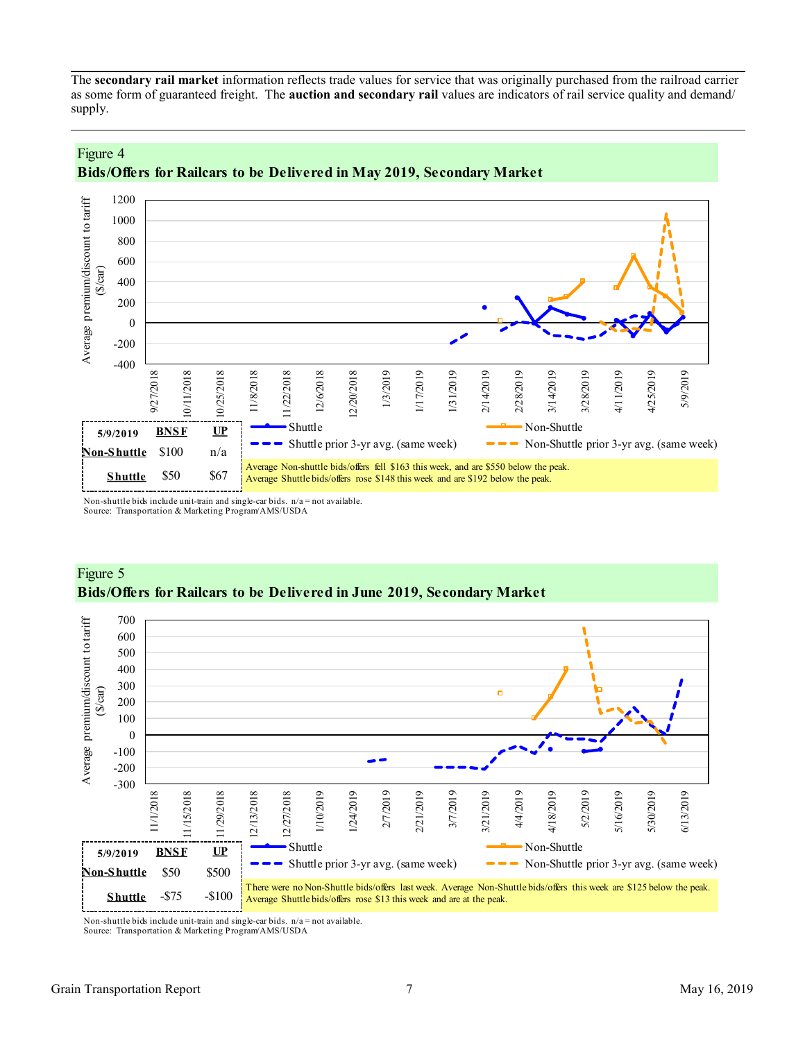<span id="page-6-0"></span>The **secondary rail market** information reflects trade values for service that was originally purchased from the railroad carrier as some form of guaranteed freight. The **auction and secondary rail** values are indicators of rail service quality and demand/ supply.





Non-shuttle bids include unit-train and single-car bids.  $n/a = not available$ . Source: Transportation & Marketing Program/AMS/USDA



# Figure 5 **Bids/Offers for Railcars to be Delivered in June 2019, Secondary Market**

Non-shuttle bids include unit-train and single-car bids.  $n/a = not available$ .

Source: Transportation & Marketing Program/AMS/USDA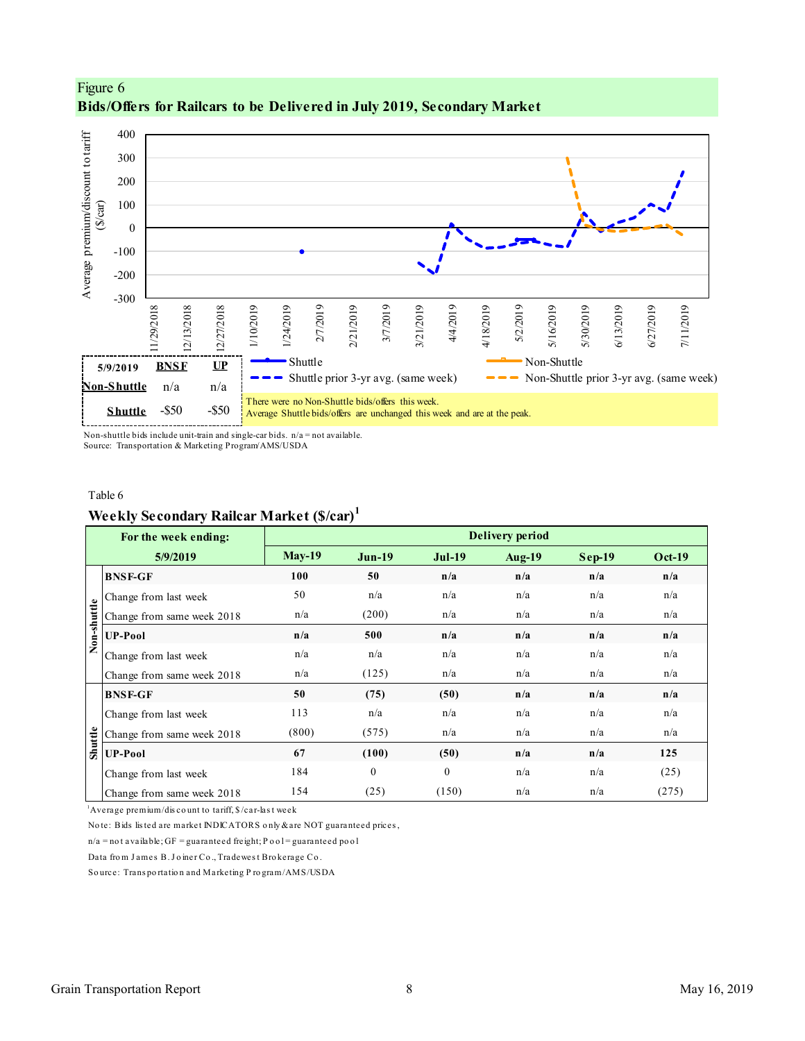

Figure 6 **Bids/Offers for Railcars to be Delivered in July 2019, Secondary Market**

Non-shuttle bids include unit-train and single-car bids. n/a = not available. Source: Transportation & Marketing Program/AMS/USDA

#### Table 6

# **Weekly Secondary Railcar Market (\$/car)<sup>1</sup>**

|             | For the week ending:                                                        |               |               |               | <b>Delivery period</b> |          |               |  |
|-------------|-----------------------------------------------------------------------------|---------------|---------------|---------------|------------------------|----------|---------------|--|
|             | 5/9/2019                                                                    | <b>May-19</b> | <b>Jun-19</b> | <b>Jul-19</b> | <b>Aug-19</b>          | $Sep-19$ | <b>Oct-19</b> |  |
|             | <b>BNSF-GF</b>                                                              | 100           | 50            | n/a           | n/a                    | n/a      | n/a           |  |
|             | Change from last week                                                       | 50            | n/a           | n/a           | n/a                    | n/a      | n/a           |  |
|             | Change from same week 2018                                                  | n/a           | (200)         | n/a           | n/a                    | n/a      | n/a           |  |
| Non-shuttle | <b>UP-Pool</b>                                                              | n/a           | 500           | n/a           | n/a                    | n/a      | n/a           |  |
|             | Change from last week                                                       | n/a           | n/a           | n/a           | n/a                    | n/a      | n/a           |  |
|             | Change from same week 2018                                                  | n/a           | (125)         | n/a           | n/a                    | n/a      | n/a           |  |
|             | <b>BNSF-GF</b>                                                              | 50            | (75)          | (50)          | n/a                    | n/a      | n/a           |  |
|             | Change from last week                                                       | 113           | n/a           | n/a           | n/a                    | n/a      | n/a           |  |
|             | Change from same week 2018                                                  | (800)         | (575)         | n/a           | n/a                    | n/a      | n/a           |  |
| Shuttle     | <b>UP-Pool</b>                                                              | 67            | (100)         | (50)          | n/a                    | n/a      | 125           |  |
|             | Change from last week                                                       | 184           | $\mathbf{0}$  | $\mathbf{0}$  | n/a                    | n/a      | (25)          |  |
|             | Change from same week 2018                                                  | 154           | (25)          | (150)         | n/a                    | n/a      | (275)         |  |
|             | $\Delta$ Average premium/discount to tariff, $\frac{1}{2}$ /car-last week   |               |               |               |                        |          |               |  |
|             | Note: Bids listed are market INDICATORS only & are NOT guaranteed prices,   |               |               |               |                        |          |               |  |
|             | $n/a$ = not available; GF = guaranteed freight; P o o l = guaranteed po o l |               |               |               |                        |          |               |  |
|             | Data from James B. Joiner Co., Tradewest Brokerage Co.                      |               |               |               |                        |          |               |  |
|             | Source: Transportation and Marketing Program/AMS/USDA                       |               |               |               |                        |          |               |  |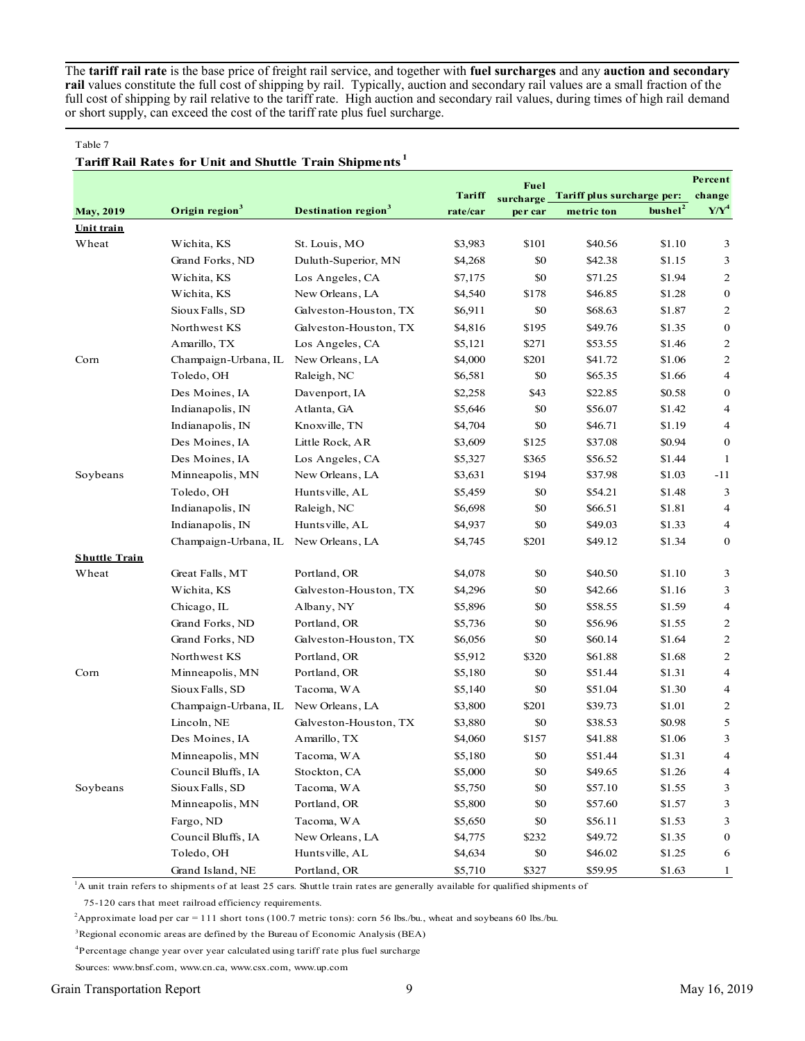The **tariff rail rate** is the base price of freight rail service, and together with **fuel surcharges** and any **auction and secondary rail** values constitute the full cost of shipping by rail. Typically, auction and secondary rail values are a small fraction of the full cost of shipping by rail relative to the tariff rate. High auction and secondary rail values, during times of high rail demand or short supply, can exceed the cost of the tariff rate plus fuel surcharge.

#### Table 7

#### **Tariff Rail Rates for Unit and Shuttle Train Shipments <sup>1</sup>**

|                      |                            |                                        |          | Fuel      |                            |                     | Percent          |
|----------------------|----------------------------|----------------------------------------|----------|-----------|----------------------------|---------------------|------------------|
|                      |                            |                                        | Tariff   | surcharge | Tariff plus surcharge per: |                     | change           |
| <b>May, 2019</b>     | Origin region <sup>3</sup> | <b>Destination region</b> <sup>3</sup> | rate/car | per car   | metric ton                 | bushel <sup>2</sup> | $Y/Y^4$          |
| Unit train           |                            |                                        |          |           |                            |                     |                  |
| Wheat                | Wichita, KS                | St. Louis, MO                          | \$3,983  | \$101     | \$40.56                    | \$1.10              | 3                |
|                      | Grand Forks, ND            | Duluth-Superior, MN                    | \$4,268  | \$0       | \$42.38                    | \$1.15              | 3                |
|                      | Wichita, KS                | Los Angeles, CA                        | \$7,175  | \$0       | \$71.25                    | \$1.94              | 2                |
|                      | Wichita, KS                | New Orleans, LA                        | \$4,540  | \$178     | \$46.85                    | \$1.28              | $\bf{0}$         |
|                      | Sioux Falls, SD            | Galveston-Houston, TX                  | \$6,911  | \$0       | \$68.63                    | \$1.87              | $\overline{c}$   |
|                      | Northwest KS               | Galveston-Houston, TX                  | \$4,816  | \$195     | \$49.76                    | \$1.35              | $\bf{0}$         |
|                      | Amarillo, TX               | Los Angeles, CA                        | \$5,121  | \$271     | \$53.55                    | \$1.46              | 2                |
| Corn                 | Champaign-Urbana, IL       | New Orleans, LA                        | \$4,000  | \$201     | \$41.72                    | \$1.06              | 2                |
|                      | Toledo, OH                 | Raleigh, NC                            | \$6,581  | \$0       | \$65.35                    | \$1.66              | 4                |
|                      | Des Moines, IA             | Davenport, IA                          | \$2,258  | \$43      | \$22.85                    | \$0.58              | 0                |
|                      | Indianapolis, IN           | Atlanta, GA                            | \$5,646  | \$0       | \$56.07                    | \$1.42              | 4                |
|                      | Indianapolis, IN           | Knoxville, TN                          | \$4,704  | \$0       | \$46.71                    | \$1.19              | $\overline{4}$   |
|                      | Des Moines, IA             | Little Rock, AR                        | \$3,609  | \$125     | \$37.08                    | \$0.94              | $\boldsymbol{0}$ |
|                      | Des Moines, IA             | Los Angeles, CA                        | \$5,327  | \$365     | \$56.52                    | \$1.44              | 1                |
| Soybeans             | Minneapolis, MN            | New Orleans, LA                        | \$3,631  | \$194     | \$37.98                    | \$1.03              | $-11$            |
|                      | Toledo, OH                 | Huntsville, AL                         | \$5,459  | \$0       | \$54.21                    | \$1.48              | 3                |
|                      | Indianapolis, IN           | Raleigh, NC                            | \$6,698  | \$0       | \$66.51                    | \$1.81              | $\overline{4}$   |
|                      | Indianapolis, IN           | Huntsville, AL                         | \$4,937  | \$0       | \$49.03                    | \$1.33              | $\overline{4}$   |
|                      | Champaign-Urbana, IL       | New Orleans, LA                        | \$4,745  | \$201     | \$49.12                    | \$1.34              | $\bf{0}$         |
| <b>Shuttle Train</b> |                            |                                        |          |           |                            |                     |                  |
| Wheat                | Great Falls, MT            | Portland, OR                           | \$4,078  | \$0       | \$40.50                    | \$1.10              | 3                |
|                      | Wichita, KS                | Galveston-Houston, TX                  | \$4,296  | \$0       | \$42.66                    | \$1.16              | 3                |
|                      | Chicago, IL                | Albany, NY                             | \$5,896  | \$0       | \$58.55                    | \$1.59              | 4                |
|                      | Grand Forks, ND            | Portland, OR                           | \$5,736  | \$0       | \$56.96                    | \$1.55              | $\overline{c}$   |
|                      | Grand Forks, ND            | Galveston-Houston, TX                  | \$6,056  | \$0       | \$60.14                    | \$1.64              | 2                |
|                      | Northwest KS               | Portland, OR                           | \$5,912  | \$320     | \$61.88                    | \$1.68              | $\overline{c}$   |
| Corn                 | Minneapolis, MN            | Portland, OR                           | \$5,180  | \$0       | \$51.44                    | \$1.31              | 4                |
|                      | Sioux Falls, SD            | Tacoma, WA                             | \$5,140  | \$0       | \$51.04                    | \$1.30              | 4                |
|                      | Champaign-Urbana, IL       | New Orleans, LA                        | \$3,800  | \$201     | \$39.73                    | \$1.01              | $\overline{c}$   |
|                      | Lincoln, NE                | Galveston-Houston, TX                  | \$3,880  | \$0       | \$38.53                    | \$0.98              | 5                |
|                      | Des Moines, IA             | Amarillo, TX                           | \$4,060  | \$157     | \$41.88                    | \$1.06              | 3                |
|                      | Minneapolis, MN            | Tacoma, WA                             | \$5,180  | \$0       | \$51.44                    | \$1.31              | 4                |
|                      | Council Bluffs, IA         | Stockton, CA                           | \$5,000  | \$0       | \$49.65                    | \$1.26              | 4                |
| Soybeans             | Sioux Falls, SD            | Tacoma, WA                             | \$5,750  | \$0       | \$57.10                    | \$1.55              | 3                |
|                      | Minneapolis, MN            | Portland, OR                           | \$5,800  | \$0       | \$57.60                    | \$1.57              | 3                |
|                      | Fargo, ND                  | Tacoma, WA                             | \$5,650  | \$0       | \$56.11                    | \$1.53              | 3                |
|                      | Council Bluffs, IA         | New Orleans, LA                        | \$4,775  | \$232     | \$49.72                    | \$1.35              | 0                |
|                      | Toledo, OH                 | Huntsville, AL                         | \$4,634  | \$0       | \$46.02                    | \$1.25              | 6                |
|                      | Grand Island, NE           | Portland, OR                           | \$5,710  | \$327     | \$59.95                    | \$1.63              | $\mathbf{1}$     |

<sup>1</sup>A unit train refers to shipments of at least 25 cars. Shuttle train rates are generally available for qualified shipments of

75-120 cars that meet railroad efficiency requirements.

<sup>2</sup>Approximate load per car = 111 short tons (100.7 metric tons): corn 56 lbs./bu., wheat and soybeans 60 lbs./bu.

<sup>3</sup>Regional economic areas are defined by the Bureau of Economic Analysis (BEA)

<sup>4</sup>Percentage change year over year calculated using tariff rate plus fuel surcharge

Sources: www.bnsf.com, www.cn.ca, www.csx.com, www.up.com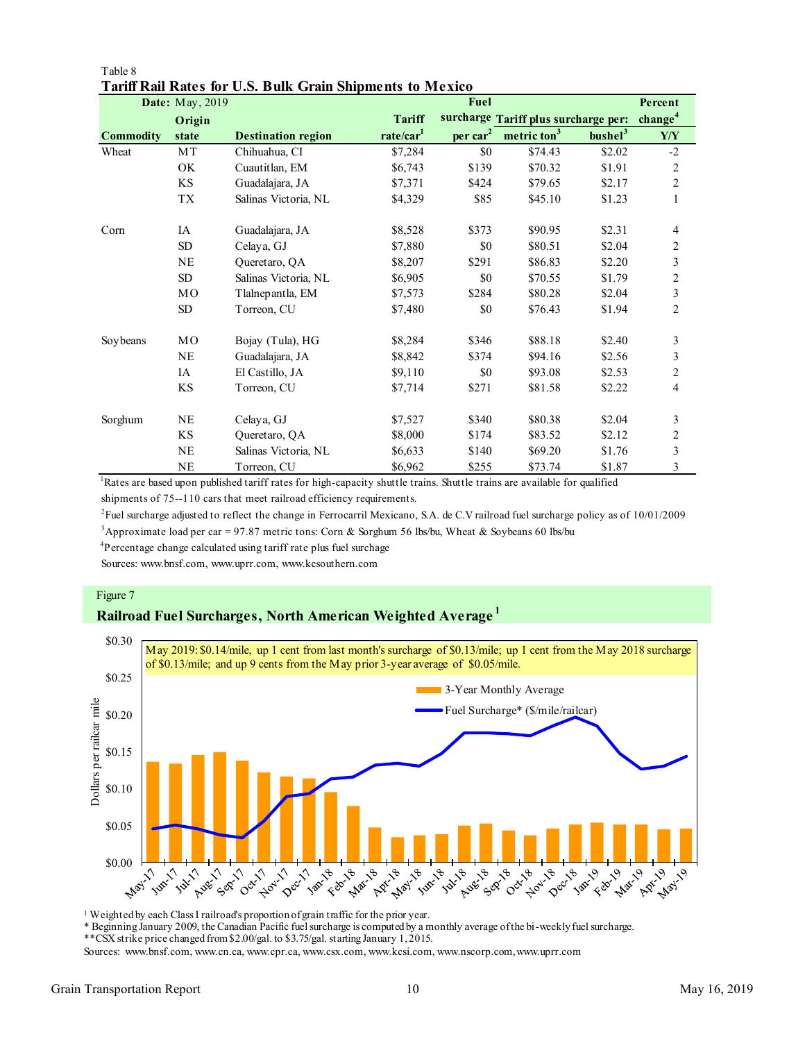|                  | <b>Date:</b> May, 2019 |                           |                       | Fuel           |                                      |                     | Percent                 |
|------------------|------------------------|---------------------------|-----------------------|----------------|--------------------------------------|---------------------|-------------------------|
|                  | Origin                 |                           | <b>Tariff</b>         |                | surcharge Tariff plus surcharge per: |                     | change <sup>4</sup>     |
| <b>Commodity</b> | state                  | <b>Destination region</b> | rate/car <sup>1</sup> | $per \, car^2$ | metric ton <sup>3</sup>              | bushel <sup>3</sup> | Y/Y                     |
| Wheat            | MT                     | Chihuahua, CI             | \$7,284               | \$0            | \$74.43                              | \$2.02              | $-2$                    |
|                  | OK                     | Cuautitlan, EM            | \$6,743               | \$139          | \$70.32                              | \$1.91              | 2                       |
|                  | KS                     | Guadalajara, JA           | \$7,371               | \$424          | \$79.65                              | \$2.17              | $\overline{c}$          |
|                  | TX                     | Salinas Victoria, NL      | \$4,329               | \$85           | \$45.10                              | \$1.23              | $\mathbf{1}$            |
| Corn             | IA                     | Guadalajara, JA           | \$8,528               | \$373          | \$90.95                              | \$2.31              | 4                       |
|                  | ${\rm SD}$             | Celaya, GJ                | \$7,880               | \$0            | \$80.51                              | \$2.04              | $\overline{c}$          |
|                  | NE                     | Queretaro, QA             | \$8,207               | \$291          | \$86.83                              | \$2.20              | 3                       |
|                  | SD                     | Salinas Victoria, NL      | \$6,905               | \$0            | \$70.55                              | \$1.79              | $\overline{c}$          |
|                  | MO                     | Tlalnepantla, EM          | \$7,573               | \$284          | \$80.28                              | \$2.04              | 3                       |
|                  | SD                     | Torreon, CU               | \$7,480               | \$0            | \$76.43                              | \$1.94              | 2                       |
| Soybeans         | MO                     | Bojay (Tula), HG          | \$8,284               | \$346          | \$88.18                              | \$2.40              | 3                       |
|                  | NE                     | Guadalajara, JA           | \$8,842               | \$374          | \$94.16                              | \$2.56              | 3                       |
|                  | IA                     | El Castillo, JA           | \$9,110               | \$0            | \$93.08                              | \$2.53              | $\overline{c}$          |
|                  | KS                     | Torreon, CU               | \$7,714               | \$271          | \$81.58                              | \$2.22              | 4                       |
| Sorghum          | <b>NE</b>              | Celaya, GJ                | \$7,527               | \$340          | \$80.38                              | \$2.04              | 3                       |
|                  | KS                     | Queretaro, QA             | \$8,000               | \$174          | \$83.52                              | \$2.12              | $\overline{c}$          |
|                  | NE                     | Salinas Victoria, NL      | \$6,633               | \$140          | \$69.20                              | \$1.76              | $\overline{\mathbf{3}}$ |
|                  | NE                     | Torreon, CU               | \$6,962               | \$255          | \$73.74                              | \$1.87              | 3                       |

#### Table 8 **Tariff Rail Rates for U.S. Bulk Grain Shipments to Mexico**

<sup>1</sup>Rates are based upon published tariff rates for high-capacity shuttle trains. Shuttle trains are available for qualified shipments of 75--110 cars that meet railroad efficiency requirements.

2 Fuel surcharge adjusted to reflect the change in Ferrocarril Mexicano, S.A. de C.V railroad fuel surcharge policy as of 10/01/2009

<sup>3</sup>Approximate load per car = 97.87 metric tons: Corn & Sorghum 56 lbs/bu, Wheat & Soybeans 60 lbs/bu

<sup>4</sup>Percentage change calculated using tariff rate plus fuel surchage

Sources: www.bnsf.com, www.uprr.com, www.kcsouthern.com

#### Figure 7

# **Railroad Fuel Surcharges, North American Weighted Average <sup>1</sup>**



<sup>1</sup> Weighted by each Class I railroad's proportion of grain traffic for the prior year.

\* Beginning January 2009, the Canadian Pacific fuel surcharge is computed by a monthly average of the bi-weekly fuel surcharge.

\*\*CSX strike price changed from \$2.00/gal. to \$3.75/gal. starting January 1, 2015.

Sources: www.bnsf.com, www.cn.ca, www.cpr.ca, www.csx.com, www.kcsi.com, www.nscorp.com, www.uprr.com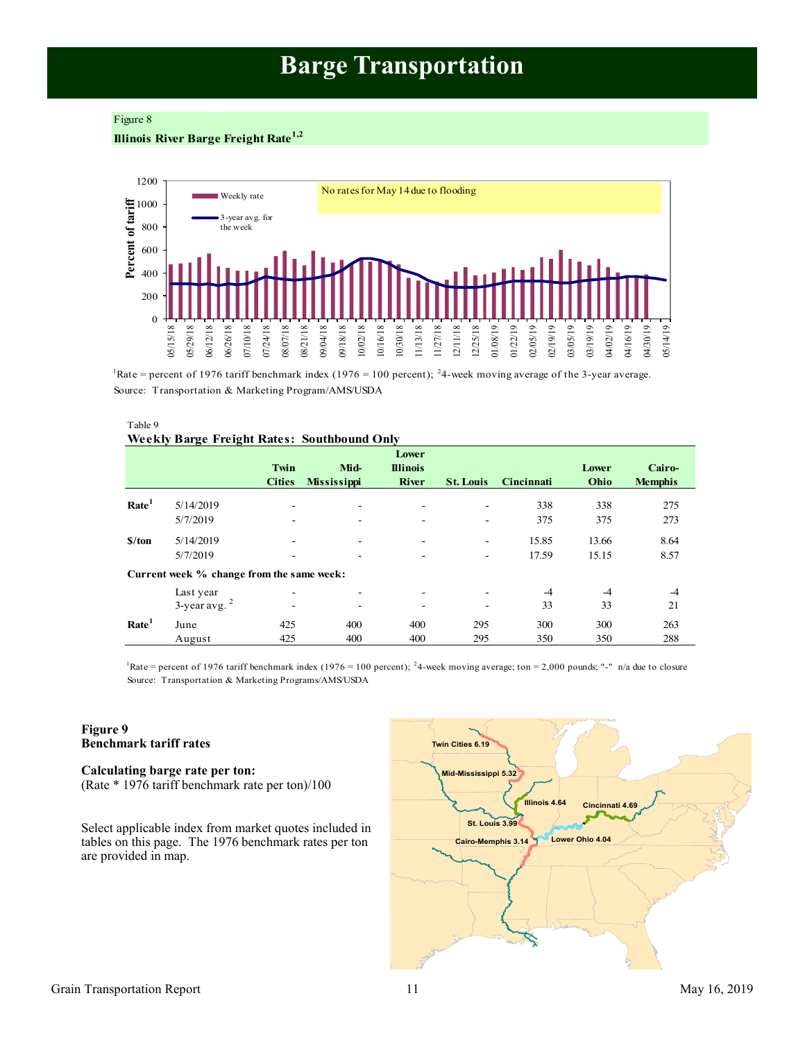# **Barge Transportation**

#### <span id="page-10-0"></span>Figure 8

# **Illinois River Barge Freight Rate1,2**



<sup>1</sup>Rate = percent of 1976 tariff benchmark index (1976 = 100 percent); <sup>2</sup>4-week moving average of the 3-year average. Source: Transportation & Marketing Program/AMS/USDA

| Table 9 |                                                    |  |
|---------|----------------------------------------------------|--|
|         | <b>Weekly Barge Freight Rates: Southbound Only</b> |  |
|         |                                                    |  |

|                   |                                           | Twin<br><b>Cities</b> | Mid-<br><b>Mississippi</b> | Lower<br><b>Illinois</b><br><b>River</b> | <b>St. Louis</b> | Cincinnati | Lower<br>Ohio | Cairo-<br><b>Memphis</b> |
|-------------------|-------------------------------------------|-----------------------|----------------------------|------------------------------------------|------------------|------------|---------------|--------------------------|
| Rate <sup>1</sup> | 5/14/2019                                 | ۰                     | -                          | -                                        | ۰                | 338        | 338           | 275                      |
|                   | 5/7/2019                                  | -                     |                            |                                          | ۰                | 375        | 375           | 273                      |
| \$/ton            | 5/14/2019                                 |                       |                            | -                                        | ۰                | 15.85      | 13.66         | 8.64                     |
|                   | 5/7/2019                                  |                       |                            |                                          | ۰                | 17.59      | 15.15         | 8.57                     |
|                   | Current week % change from the same week: |                       |                            |                                          |                  |            |               |                          |
|                   | Last year                                 | -                     |                            |                                          |                  | $-4$       | $-4$          | -4                       |
|                   | $3$ -year avg. $2$                        | -                     | ۰                          | -                                        | -                | 33         | 33            | 21                       |
| Rate <sup>1</sup> | June                                      | 425                   | 400                        | 400                                      | 295              | 300        | 300           | 263                      |
|                   | August                                    | 425                   | 400                        | 400                                      | 295              | 350        | 350           | 288                      |

Source: Transportation & Marketing Programs/AMS/USDA <sup>1</sup>Rate = percent of 1976 tariff benchmark index (1976 = 100 percent); <sup>2</sup>4-week moving average; ton = 2,000 pounds; "-" n/a due to closure

#### **Figure 9 Benchmark tariff rates**

**Calculating barge rate per ton:** (Rate \* 1976 tariff benchmark rate per ton)/100

Select applicable index from market quotes included in tables on this page. The 1976 benchmark rates per ton are provided in map.

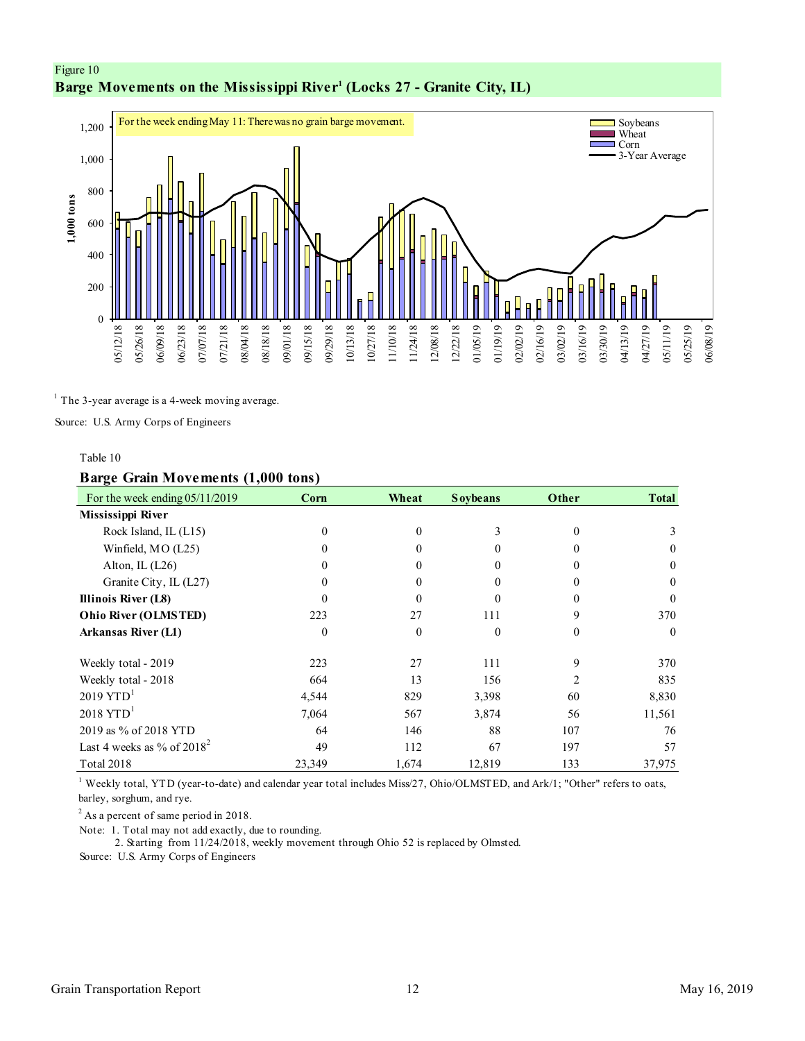# <span id="page-11-0"></span>Figure 10 **Barge Movements on the Mississippi River<sup>1</sup> (Locks 27 - Granite City, IL)**



 $<sup>1</sup>$  The 3-year average is a 4-week moving average.</sup>

Source: U.S. Army Corps of Engineers

#### Table 10

### **Barge Grain Movements (1,000 tons)**

| For the week ending $05/11/2019$ | Corn         | Wheat        | <b>Soybeans</b> | Other    | <b>Total</b> |
|----------------------------------|--------------|--------------|-----------------|----------|--------------|
| Mississippi River                |              |              |                 |          |              |
| Rock Island, IL (L15)            | $\mathbf{0}$ | $\theta$     | 3               | $\Omega$ | 3            |
| Winfield, MO (L25)               | $\Omega$     | $\Omega$     | 0               |          | $\theta$     |
| Alton, IL $(L26)$                | 0            |              |                 |          | $\Omega$     |
| Granite City, IL (L27)           | $\theta$     | 0            | $_{0}$          |          | $\theta$     |
| Illinois River (L8)              | 0            | $\Omega$     | 0               |          | $\Omega$     |
| Ohio River (OLMSTED)             | 223          | 27           | 111             | 9        | 370          |
| <b>Arkansas River (L1)</b>       | $\theta$     | $\mathbf{0}$ | $\theta$        | $\theta$ | $\theta$     |
| Weekly total - 2019              | 223          | 27           | 111             | 9        | 370          |
| Weekly total - 2018              | 664          | 13           | 156             |          | 835          |
| $2019$ YTD <sup>1</sup>          | 4,544        | 829          | 3,398           | 60       | 8,830        |
| $2018$ YTD <sup>1</sup>          | 7,064        | 567          | 3,874           | 56       | 11,561       |
| 2019 as % of 2018 YTD            | 64           | 146          | 88              | 107      | 76           |
| Last 4 weeks as % of $2018^2$    | 49           | 112          | 67              | 197      | 57           |
| <b>Total 2018</b>                | 23,349       | 1,674        | 12,819          | 133      | 37,975       |

<sup>1</sup> Weekly total, YTD (year-to-date) and calendar year total includes Miss/27, Ohio/OLMSTED, and Ark/1; "Other" refers to oats, barley, sorghum, and rye.

<sup>2</sup> As a percent of same period in 2018.

Note: 1. Total may not add exactly, due to rounding.

2. Starting from 11/24/2018, weekly movement through Ohio 52 is replaced by Olmsted.

Source: U.S. Army Corps of Engineers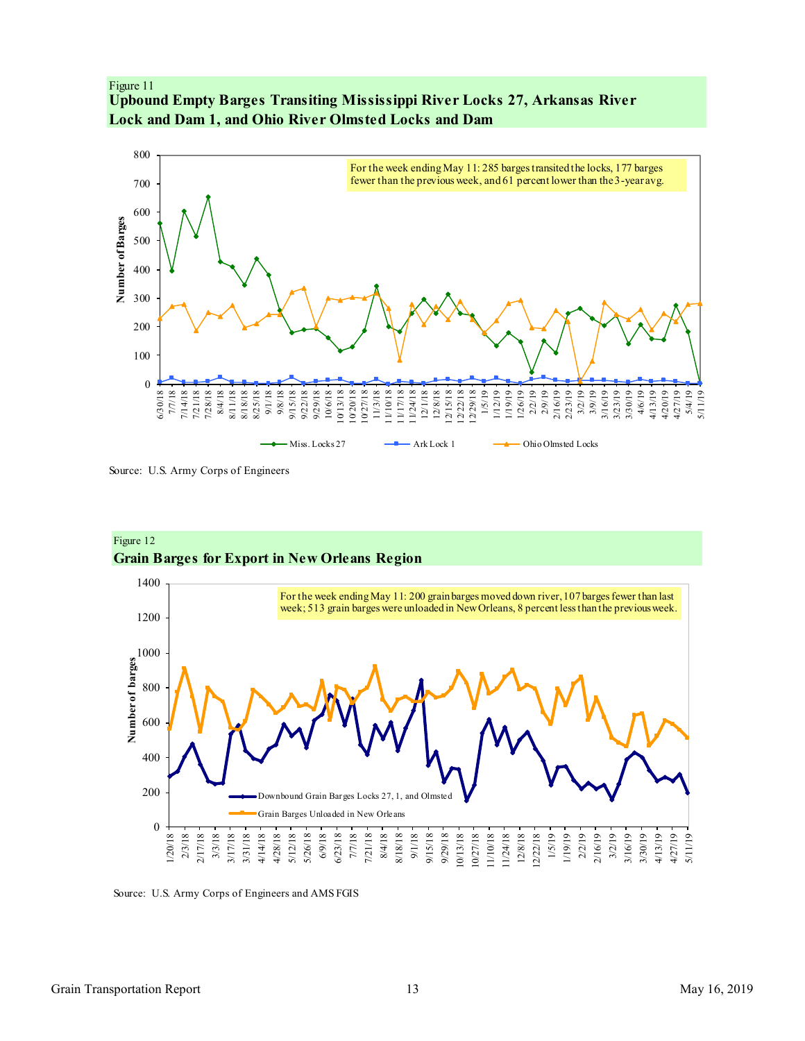# <span id="page-12-0"></span>Figure 11 **Upbound Empty Barges Transiting Mississippi River Locks 27, Arkansas River Lock and Dam 1, and Ohio River Olmsted Locks and Dam**



Source: U.S. Army Corps of Engineers



Figure 12 **Grain Barges for Export in New Orleans Region**

Source: U.S. Army Corps of Engineers and AMS FGIS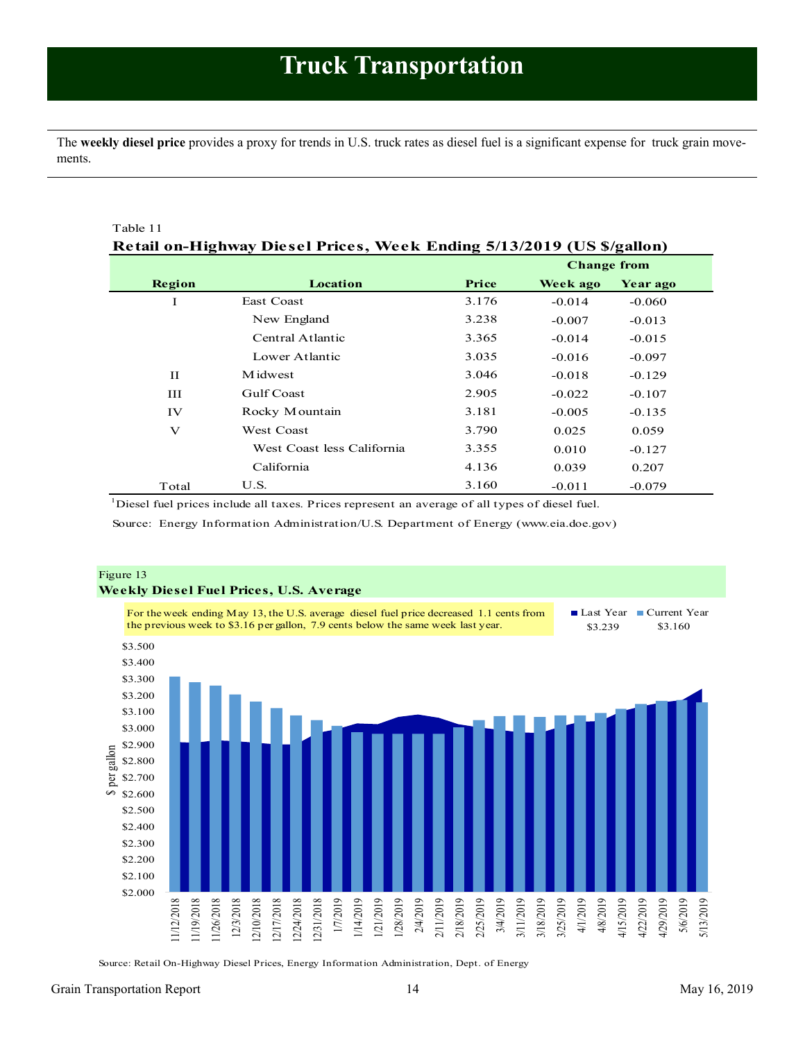<span id="page-13-1"></span><span id="page-13-0"></span>The **weekly diesel price** provides a proxy for trends in U.S. truck rates as diesel fuel is a significant expense for truck grain movements.

| Table 11     |                                                                       |       |                    |          |  |  |  |
|--------------|-----------------------------------------------------------------------|-------|--------------------|----------|--|--|--|
|              | Retail on-Highway Diesel Prices, Week Ending 5/13/2019 (US \$/gallon) |       |                    |          |  |  |  |
|              |                                                                       |       | <b>Change from</b> |          |  |  |  |
| Region       | Location                                                              | Price | Week ago           | Year ago |  |  |  |
| I            | <b>East Coast</b>                                                     | 3.176 | $-0.014$           | $-0.060$ |  |  |  |
|              | New England                                                           | 3.238 | $-0.007$           | $-0.013$ |  |  |  |
|              | Central Atlantic                                                      | 3.365 | $-0.014$           | $-0.015$ |  |  |  |
|              | Lower Atlantic                                                        | 3.035 | $-0.016$           | $-0.097$ |  |  |  |
| $\mathbf{H}$ | M idwest                                                              | 3.046 | $-0.018$           | $-0.129$ |  |  |  |
| Ш            | Gulf Coast                                                            | 2.905 | $-0.022$           | $-0.107$ |  |  |  |
| IV           | Rocky Mountain                                                        | 3.181 | $-0.005$           | $-0.135$ |  |  |  |
| $\mathbf{V}$ | <b>West Coast</b>                                                     | 3.790 | 0.025              | 0.059    |  |  |  |
|              | West Coast less California                                            | 3.355 | 0.010              | $-0.127$ |  |  |  |
|              | California                                                            | 4.136 | 0.039              | 0.207    |  |  |  |
| Total        | U.S.                                                                  | 3.160 | $-0.011$           | $-0.079$ |  |  |  |

<sup>1</sup>Diesel fuel prices include all taxes. Prices represent an average of all types of diesel fuel.

Source: Energy Information Administration/U.S. Department of Energy (www.eia.doe.gov)



Source: Retail On-Highway Diesel Prices, Energy Information Administration, Dept. of Energy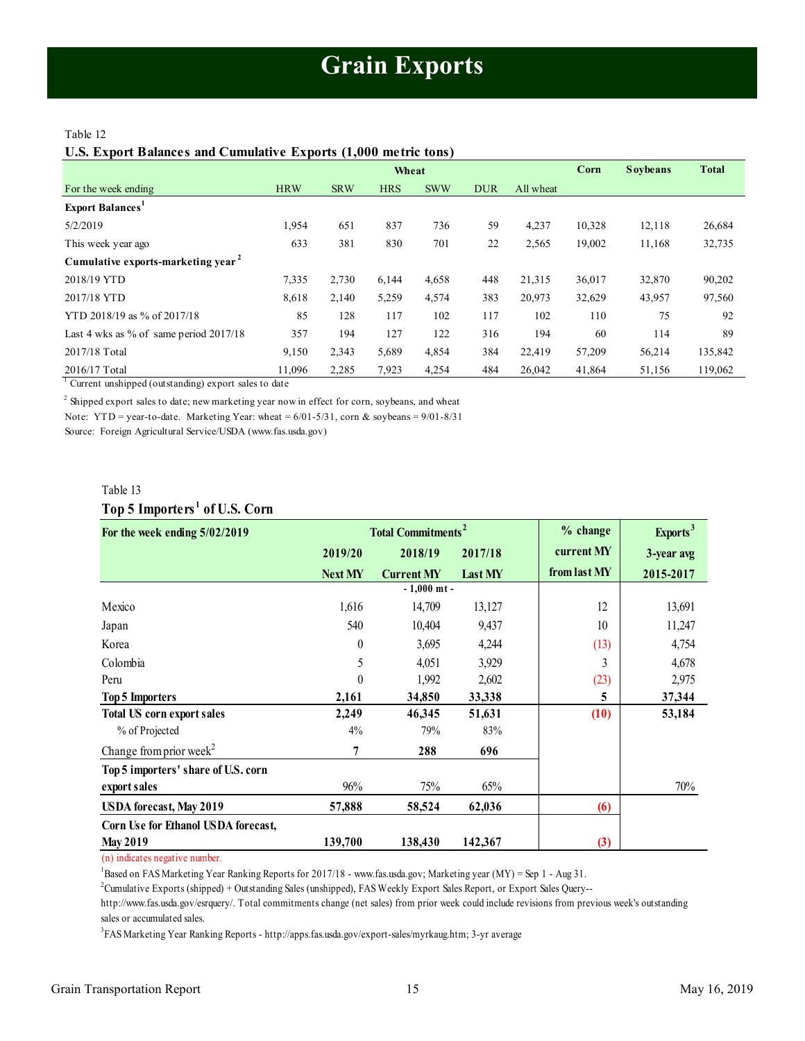### <span id="page-14-1"></span><span id="page-14-0"></span>Table 12

**U.S. Export Balances and Cumulative Exports (1,000 metric tons)**

|                                                |            | Wheat      |            |            |            |           | Corn   | <b>Soybeans</b> | <b>Total</b> |
|------------------------------------------------|------------|------------|------------|------------|------------|-----------|--------|-----------------|--------------|
| For the week ending                            | <b>HRW</b> | <b>SRW</b> | <b>HRS</b> | <b>SWW</b> | <b>DUR</b> | All wheat |        |                 |              |
| <b>Export Balances</b> <sup>1</sup>            |            |            |            |            |            |           |        |                 |              |
| 5/2/2019                                       | 1,954      | 651        | 837        | 736        | 59         | 4,237     | 10,328 | 12,118          | 26,684       |
| This week year ago                             | 633        | 381        | 830        | 701        | 22         | 2,565     | 19,002 | 11,168          | 32,735       |
| Cumulative exports-marketing year <sup>2</sup> |            |            |            |            |            |           |        |                 |              |
| 2018/19 YTD                                    | 7,335      | 2,730      | 6,144      | 4,658      | 448        | 21,315    | 36,017 | 32,870          | 90,202       |
| 2017/18 YTD                                    | 8,618      | 2,140      | 5,259      | 4,574      | 383        | 20,973    | 32,629 | 43,957          | 97,560       |
| YTD 2018/19 as % of 2017/18                    | 85         | 128        | 117        | 102        | 117        | 102       | 110    | 75              | 92           |
| Last 4 wks as % of same period $2017/18$       | 357        | 194        | 127        | 122        | 316        | 194       | 60     | 114             | 89           |
| 2017/18 Total                                  | 9,150      | 2,343      | 5,689      | 4,854      | 384        | 22,419    | 57,209 | 56,214          | 135,842      |
| 2016/17 Total                                  | 11.096     | 2,285      | 7,923      | 4,254      | 484        | 26,042    | 41,864 | 51,156          | 119,062      |

<sup>1</sup> Current unshipped (outstanding) export sales to date

 $2$  Shipped export sales to date; new marketing year now in effect for corn, soybeans, and wheat

Note: YTD = year-to-date. Marketing Year: wheat =  $6/01-5/31$ , corn & soybeans =  $9/01-8/31$ 

Source: Foreign Agricultural Service/USDA (www.fas.usda.gov)

#### Table 13

## **Top 5 Importers <sup>1</sup> of U.S. Corn**

| Table 13                                  |                  |                                      |          |                      |            |
|-------------------------------------------|------------------|--------------------------------------|----------|----------------------|------------|
| Top 5 Importers <sup>1</sup> of U.S. Corn |                  |                                      |          |                      |            |
| For the week ending 5/02/2019             |                  | <b>Total Commitments<sup>2</sup></b> | % change | Exports <sup>3</sup> |            |
|                                           | 2019/20          | 2018/19                              | 2017/18  | current MY           | 3-year avg |
|                                           | <b>Next MY</b>   | <b>Current MY</b>                    | Last MY  | from last MY         | 2015-2017  |
|                                           |                  | $-1,000$ mt -                        |          |                      |            |
| Mexico                                    | 1,616            | 14,709                               | 13,127   | 12                   | 13,691     |
| Japan                                     | 540              | 10,404                               | 9,437    | 10                   | 11,247     |
| Korea                                     | $\boldsymbol{0}$ | 3,695                                | 4,244    | (13)                 | 4,754      |
| Colombia                                  | 5                | 4,051                                | 3,929    | 3                    | 4,678      |
| Peru                                      | $\boldsymbol{0}$ | 1,992                                | 2,602    | (23)                 | 2,975      |
| <b>Top 5 Importers</b>                    | 2,161            | 34,850                               | 33,338   | 5                    | 37,344     |
| <b>Total US corn export sales</b>         | 2,249            | 46,345                               | 51,631   | (10)                 | 53,184     |
| % of Projected                            | 4%               | 79%                                  | 83%      |                      |            |
| Change from prior week <sup>2</sup>       | 7                | 288                                  | 696      |                      |            |
| Top 5 importers' share of U.S. corn       |                  |                                      |          |                      |            |
| export sales                              | 96%              | 75%                                  | 65%      |                      | 70%        |
| <b>USDA</b> forecast, May 2019            | 57,888           | 58,524                               | 62,036   | (6)                  |            |
| Corn Use for Ethanol USDA forecast,       |                  |                                      |          |                      |            |
| <b>May 2019</b>                           | 139,700          | 138,430                              | 142,367  | (3)                  |            |

(n) indicates negative number.

 $1$ Based on FAS Marketing Year Ranking Reports for 2017/18 - www.fas.usda.gov; Marketing year (MY) = Sep 1 - Aug 31.

<sup>2</sup>Cumulative Exports (shipped) + Outstanding Sales (unshipped), FAS Weekly Export Sales Report, or Export Sales Query--

http://www.fas.usda.gov/esrquery/. Total commitments change (net sales) from prior week could include revisions from previous week's outstanding sales or accumulated sales.

3 FAS Marketing Year Ranking Reports - http://apps.fas.usda.gov/export-sales/myrkaug.htm; 3-yr average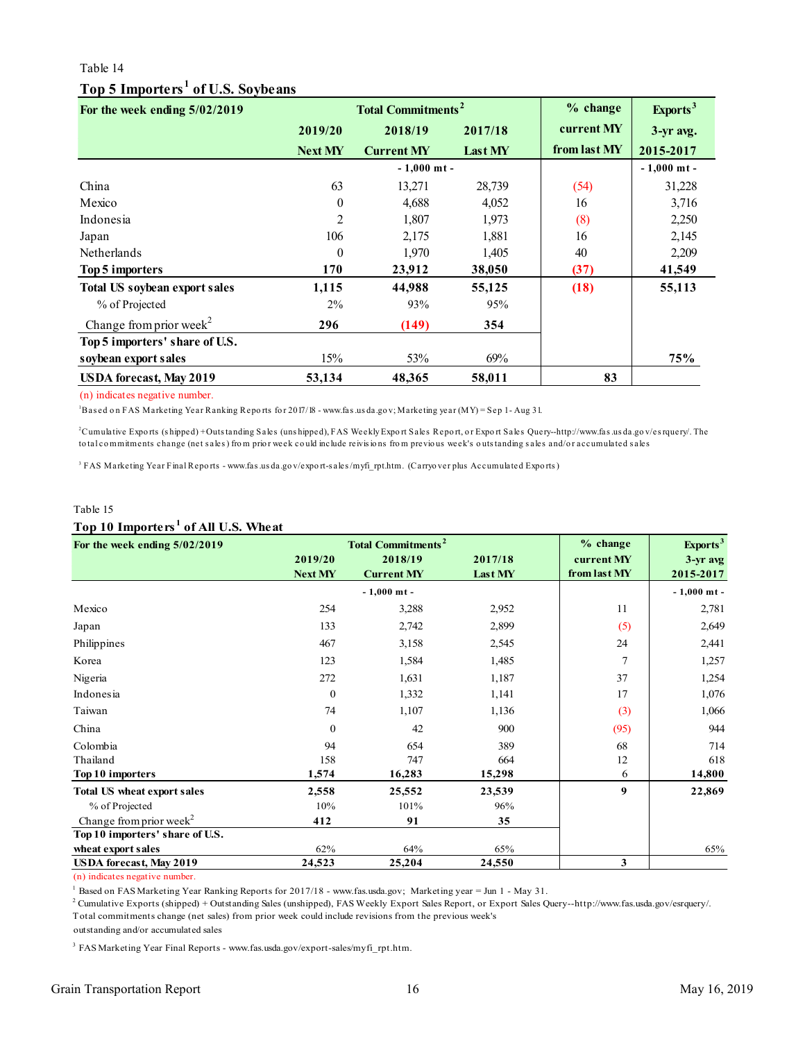## Table 14

# **Top 5 Importers <sup>1</sup> of U.S. Soybeans**

<span id="page-15-0"></span>

| For the week ending 5/02/2019        |                | <b>Total Commitments<sup>2</sup></b> | % change | Exports <sup>3</sup> |               |
|--------------------------------------|----------------|--------------------------------------|----------|----------------------|---------------|
|                                      | 2019/20        | 2018/19                              | 2017/18  | current MY           | 3-yr avg.     |
|                                      | <b>Next MY</b> | <b>Current MY</b>                    | Last MY  | from last MY         | 2015-2017     |
|                                      |                | $-1,000$ mt -                        |          |                      | $-1,000$ mt - |
| China                                | 63             | 13,271                               | 28,739   | (54)                 | 31,228        |
| Mexico                               | $\theta$       | 4,688                                | 4,052    | 16                   | 3,716         |
| Indonesia                            | 2              | 1,807                                | 1,973    | (8)                  | 2,250         |
| Japan                                | 106            | 2,175                                | 1,881    | 16                   | 2,145         |
| Netherlands                          | $\theta$       | 1,970                                | 1,405    | 40                   | 2,209         |
| Top 5 importers                      | 170            | 23,912                               | 38,050   | (37)                 | 41,549        |
| <b>Total US soybean export sales</b> | 1,115          | 44,988                               | 55,125   | (18)                 | 55,113        |
| % of Projected                       | 2%             | 93%                                  | 95%      |                      |               |
| Change from prior week <sup>2</sup>  | 296            | (149)                                | 354      |                      |               |
| Top 5 importers' share of U.S.       |                |                                      |          |                      |               |
| soybean export sales                 | 15%            | 53%                                  | 69%      |                      | 75%           |
| <b>USDA</b> forecast, May 2019       | 53,134         | 48,365                               | 58,011   | 83                   |               |
| (n) indicates negative number.       |                |                                      |          |                      |               |

(n) indicates negative number.

<sup>1</sup>Based on FAS Marketing Year Ranking Reports for 2017/18 - www.fas.us da.gov; Marketing year (MY) = Sep 1- Aug 31.

Cumulative Exports (shipped)+Outstanding Sales (unshipped), FAS Weekly Export Sales Report, or Export Sales Query--hotal commitments change (net sales) from prior week could include reivisions from previous week's outstand (n) indicates negative number.<br>'Based on FAS Marketing Year Ranking Reports for 2017/18 - www.fas.usda.gov; Marketing year (MY) = Sep 1- Aug 31.<br><sup>2</sup>Cumulative Exports (shipped) + Outstanding Sales (uns hipped), FAS Weekly to tal co metals and the matter of minds.<br>"Based on FAS Marketing Year Ranking Reports for 2017/18 - www.fas.usda.gov; Marketing year (MY) = Sep 1- Aug 31.<br>"Cumulative Exports (shipped) +Outstanding Sales (unshipped), FAS

3

## Table 15 **Top 10 Importers <sup>1</sup> of All U.S. Wheat**

| Table 15                                        |                |                                      |         |                  |                      |
|-------------------------------------------------|----------------|--------------------------------------|---------|------------------|----------------------|
| Top 10 Importers <sup>1</sup> of All U.S. Wheat |                |                                      |         |                  |                      |
| For the week ending 5/02/2019                   |                | <b>Total Commitments<sup>2</sup></b> |         | % change         | Exports <sup>3</sup> |
|                                                 | 2019/20        | 2018/19                              | 2017/18 | current MY       | 3-yr avg             |
|                                                 | <b>Next MY</b> | <b>Current MY</b>                    | Last MY | from last MY     | 2015-2017            |
|                                                 |                | $-1,000$ mt -                        |         |                  | $-1,000$ mt -        |
| Mexico                                          | 254            | 3,288                                | 2,952   | 11               | 2,781                |
| Japan                                           | 133            | 2,742                                | 2,899   | (5)              | 2,649                |
| Philippines                                     | 467            | 3,158                                | 2,545   | 24               | 2,441                |
| Korea                                           | 123            | 1,584                                | 1,485   | 7                | 1,257                |
| Nigeria                                         | 272            | 1,631                                | 1,187   | 37               | 1,254                |
| Indonesia                                       | $\mathbf{0}$   | 1,332                                | 1,141   | 17               | 1,076                |
| Taiwan                                          | 74             | 1,107                                | 1,136   | (3)              | 1,066                |
| China                                           | $\Omega$       | 42                                   | 900     | (95)             | 944                  |
| Colombia                                        | 94             | 654                                  | 389     | 68               | 714                  |
| Thailand                                        | 158            | 747                                  | 664     | 12               | 618                  |
| Top 10 importers                                | 1,574          | 16,283                               | 15,298  | 6                | 14,800               |
| <b>Total US wheat export sales</b>              | 2,558          | 25,552                               | 23,539  | $\boldsymbol{9}$ | 22,869               |
| % of Projected                                  | 10%            | 101%                                 | 96%     |                  |                      |
| Change from prior week <sup>2</sup>             | 412            | 91                                   | 35      |                  |                      |
| Top 10 importers' share of U.S.                 |                |                                      |         |                  |                      |
| wheat export sales                              | 62%            | 64%                                  | 65%     |                  | 65%                  |
| <b>USDA</b> forecast, May 2019                  | 24,523         | 25,204                               | 24.550  | 3                |                      |

(n) indicates negative number.

<sup>1</sup> Based on FAS Marketing Year Ranking Reports for 2017/18 - www.fas.usda.gov; Marketing year = Jun 1 - May 31.

 $^{2}$  Cumulative Exports (shipped) + Outstanding Sales (unshipped), FAS Weekly Export Sales Report, or Export Sales Query--http://www.fas.usda.gov/esrquery/. Total commitments change (net sales) from prior week could include revisions from the previous week's

outstanding and/or accumulated sales

<sup>3</sup> FAS Marketing Year Final Reports - www.fas.usda.gov/export-sales/myfi\_rpt.htm.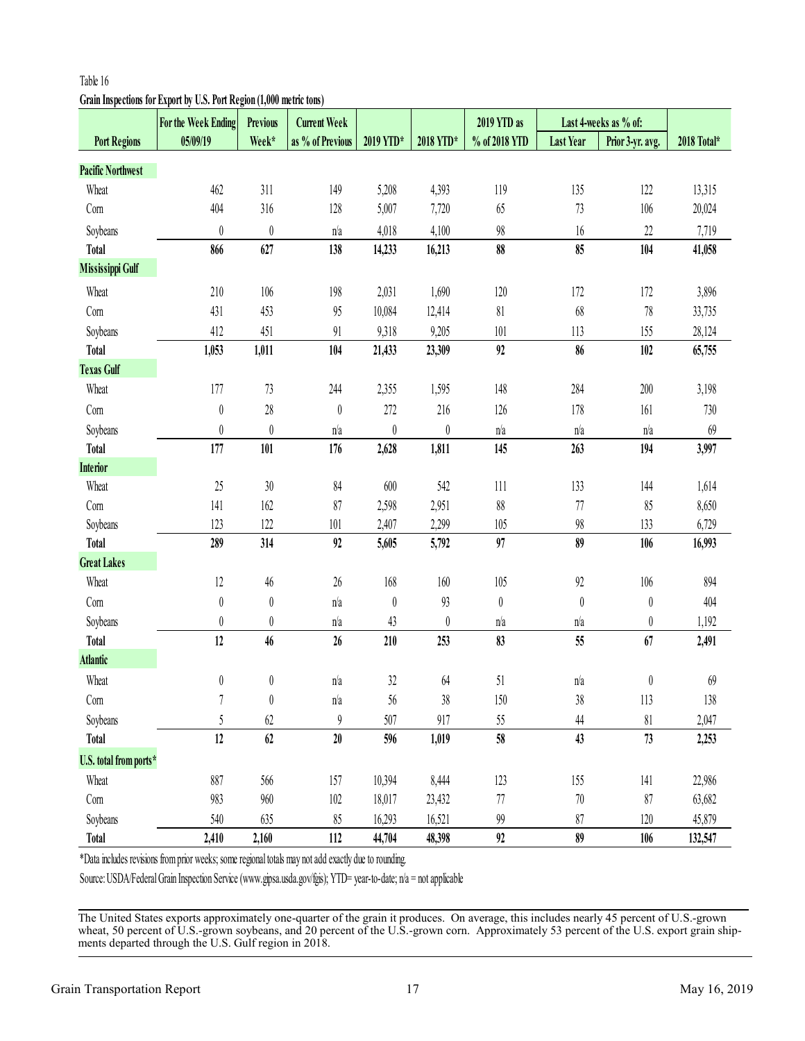# <span id="page-16-0"></span>**Grain Inspections for Export by U.S. Port Region (1,000 metric tons)**

|                          | For the Week Ending                                                                                              | <b>Previous</b>  | <b>Current Week</b> |                  |                  | 2019 YTD as      |                  | Last 4-weeks as % of: |             |
|--------------------------|------------------------------------------------------------------------------------------------------------------|------------------|---------------------|------------------|------------------|------------------|------------------|-----------------------|-------------|
| <b>Port Regions</b>      | 05/09/19                                                                                                         | Week*            | as % of Previous    | 2019 YTD*        | 2018 YTD*        | % of 2018 YTD    | <b>Last Year</b> | Prior 3-yr. avg.      | 2018 Total* |
| <b>Pacific Northwest</b> |                                                                                                                  |                  |                     |                  |                  |                  |                  |                       |             |
| Wheat                    | 462                                                                                                              | 311              | 149                 | 5,208            | 4,393            | 119              | 135              | 122                   | 13,315      |
| Com                      | 404                                                                                                              | 316              | 128                 | 5,007            | 7,720            | 65               | 73               | 106                   | 20,024      |
| Soybeans                 | $\boldsymbol{0}$                                                                                                 | $\boldsymbol{0}$ | n/a                 | 4,018            | 4,100            | $98\,$           | $16\,$           | 22                    | 7,719       |
| <b>Total</b>             | 866                                                                                                              | 627              | 138                 | 14,233           | 16,213           | 88               | 85               | 104                   | 41,058      |
| <b>Mississippi Gulf</b>  |                                                                                                                  |                  |                     |                  |                  |                  |                  |                       |             |
| Wheat                    | 210                                                                                                              | 106              | 198                 | 2,031            | 1,690            | 120              | 172              | 172                   | 3,896       |
| Com                      | 431                                                                                                              | 453              | 95                  | 10,084           | 12,414           | 81               | 68               | $78\,$                | 33,735      |
| Soybeans                 | 412                                                                                                              | 451              | 91                  | 9,318            | 9,205            | 101              | 113              | 155                   | 28,124      |
| <b>Total</b>             | 1,053                                                                                                            | 1,011            | 104                 | 21,433           | 23,309           | 92               | 86               | 102                   | 65,755      |
| <b>Texas Gulf</b>        |                                                                                                                  |                  |                     |                  |                  |                  |                  |                       |             |
| Wheat                    | 177                                                                                                              | 73               | 244                 | 2,355            | 1,595            | 148              | 284              | 200                   | 3,198       |
| Com                      | $\boldsymbol{0}$                                                                                                 | $28\,$           | $\boldsymbol{0}$    | 272              | $216$            | 126              | 178              | 161                   | 730         |
| Soybeans                 | $\pmb{0}$                                                                                                        | $\boldsymbol{0}$ | n/a                 | $\boldsymbol{0}$ | $\boldsymbol{0}$ | n/a              | n/a              | n/a                   | 69          |
| <b>Total</b>             | 177                                                                                                              | 101              | 176                 | 2,628            | 1,811            | 145              | 263              | 194                   | 3,997       |
| <b>Interior</b>          |                                                                                                                  |                  |                     |                  |                  |                  |                  |                       |             |
| Wheat                    | 25                                                                                                               | $30\,$           | 84                  | 600              | 542              | 111              | 133              | 144                   | 1,614       |
| Com                      | 141                                                                                                              | 162              | 87                  | 2,598            | 2,951            | $88\,$           | 77               | 85                    | 8,650       |
| Soybeans                 | 123                                                                                                              | 122              | 101                 | 2,407            | 2,299            | 105              | 98               | 133                   | 6,729       |
| <b>Total</b>             | 289                                                                                                              | 314              | 92                  | 5,605            | 5,792            | 97               | 89               | 106                   | 16,993      |
| <b>Great Lakes</b>       |                                                                                                                  |                  |                     |                  |                  |                  |                  |                       |             |
| Wheat                    | 12                                                                                                               | $46$             | $26\,$              | 168              | 160              | 105              | 92               | 106                   | 894         |
| Com                      | $\boldsymbol{0}$                                                                                                 | $\boldsymbol{0}$ | n/a                 | $\boldsymbol{0}$ | 93               | $\boldsymbol{0}$ | $\theta$         | $\boldsymbol{0}$      | 404         |
| Soybeans                 | $\boldsymbol{0}$                                                                                                 | $\boldsymbol{0}$ | n/a                 | 43               | $\boldsymbol{0}$ | n/a              | n/a              | $\boldsymbol{0}$      | 1,192       |
| <b>Total</b>             | 12                                                                                                               | 46               | 26                  | 210              | 253              | 83               | 55               | 67                    | 2,491       |
| <b>Atlantic</b>          |                                                                                                                  |                  |                     |                  |                  |                  |                  |                       |             |
| Wheat                    | 0                                                                                                                | 0                | n/a                 | 32               | 64               | 51               | n/a              | $\pmb{0}$             | 69          |
| Com                      | 7                                                                                                                | $\pmb{0}$        | n/a                 | 56               | 38               | 150              | 38               | 113                   | 138         |
| Soybeans                 | 5                                                                                                                | 62               | 9                   | 507              | 917              | 55               | 44               | $\sqrt[8]{1}$         | 2,047       |
| <b>Total</b>             | 12                                                                                                               | 62               | $20\,$              | 596              | 1,019            | 58               | 43               | 73                    | 2,253       |
| U.S. total from ports*   |                                                                                                                  |                  |                     |                  |                  |                  |                  |                       |             |
| Wheat                    | 887                                                                                                              | 566              | 157                 | 10,394           | 8,444            | 123              | 155              | 141                   | 22,986      |
| Com                      | 983                                                                                                              | 960              | 102                 | 18,017           | 23,432           | 77               | 70               | 87                    | 63,682      |
| Soybeans                 | 540                                                                                                              | 635              | 85                  | 16,293           | 16,521           | 99               | 87               | 120                   | 45,879      |
| <b>Total</b>             | 2,410                                                                                                            | 2,160            | 112                 | 44,704           | 48,398           | 92               | 89               | 106                   | 132,547     |
|                          | *Data includes revisions from prior weeks; some regional totals may not add exactly due to rounding.             |                  |                     |                  |                  |                  |                  |                       |             |
|                          | Source: USDA/Federal Grain Inspection Service (www.gipsa.usda.gov/fgis); YTD= year-to-date; n/a = not applicable |                  |                     |                  |                  |                  |                  |                       |             |
|                          |                                                                                                                  |                  |                     |                  |                  |                  |                  |                       |             |

The United States exports approximately one-quarter of the grain it produces. On average, this includes nearly 45 percent of U.S.-grown wheat, 50 percent of U.S.-grown soybeans, and 20 percent of the U.S.-grown corn. Approximately 53 percent of the U.S. export grain ship-<br>ments departed through the U.S. Gulf region in 2018.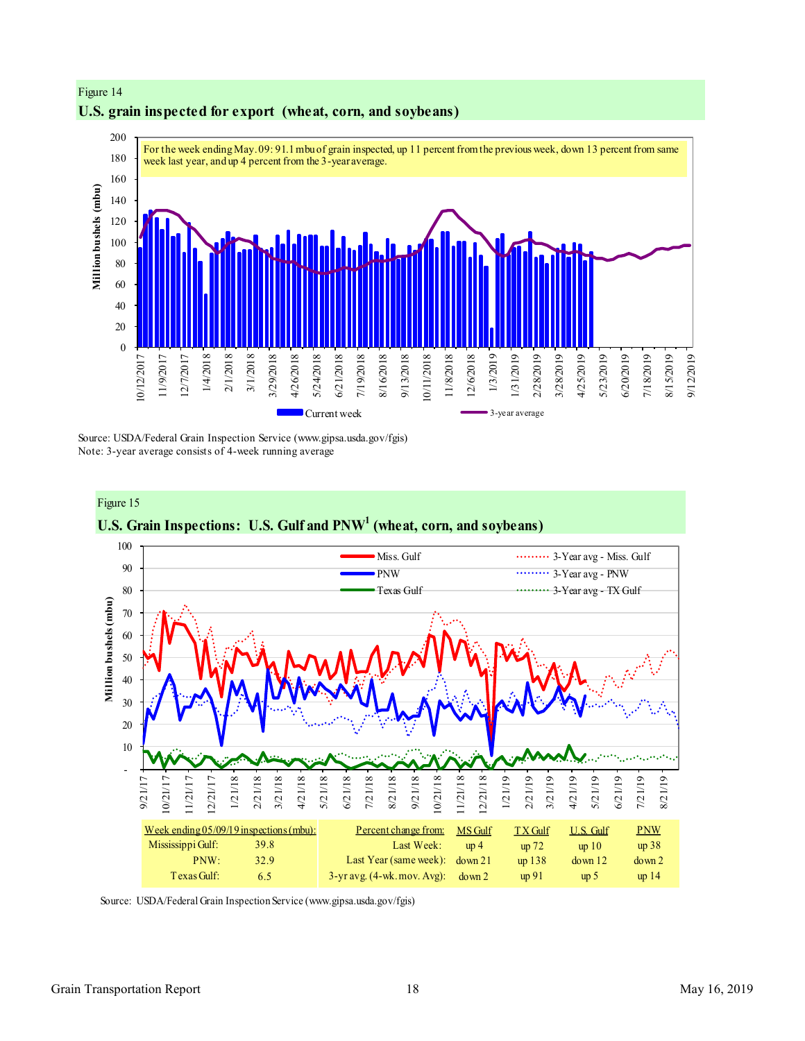

# **U.S. grain inspected for export (wheat, corn, and soybeans)**

Figure 14

Source: USDA/Federal Grain Inspection Service (www.gipsa.usda.gov/fgis) Note: 3-year average consists of 4-week running average



Source: USDA/Federal Grain Inspection Service (www.gipsa.usda.gov/fgis)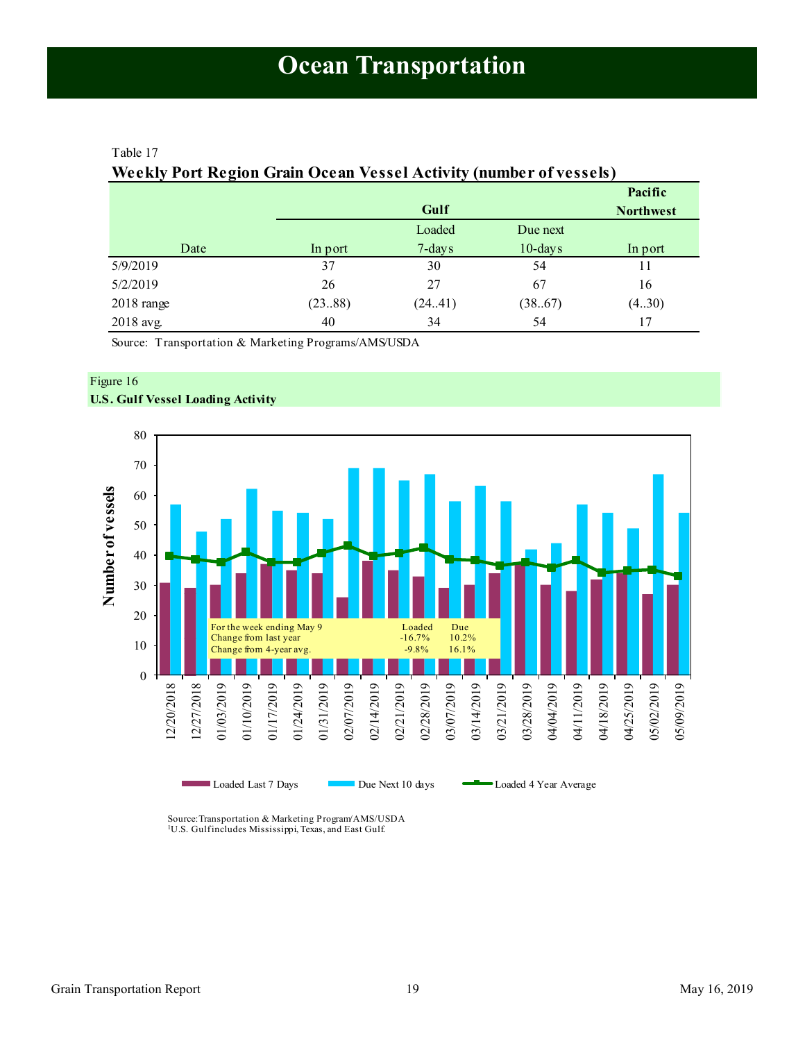## <span id="page-18-1"></span><span id="page-18-0"></span>Table 17

# **Weekly Port Region Grain Ocean Vessel Activity (number of vessels)**

|            |      |         |         |            | Pacific          |
|------------|------|---------|---------|------------|------------------|
|            |      |         | Gulf    |            | <b>Northwest</b> |
|            |      |         | Loaded  | Due next   |                  |
|            | Date | In port | 7-days  | $10$ -days | In port          |
| 5/9/2019   |      | 37      | 30      | 54         | 11               |
| 5/2/2019   |      | 26      | 27      | 67         | 16               |
| 2018 range |      | (2388)  | (24.41) | (38.67)    | (4.30)           |
| 2018 avg.  |      | 40      | 34      | 54         | 17               |

Source: Transportation & Marketing Programs/AMS/USDA

## Figure 16 **U.S. Gulf Vessel Loading Activity**



Source:Transportation & Marketing Program/AMS/USDA <sup>1</sup>U.S. Gulfincludes Mississippi, Texas, and East Gulf.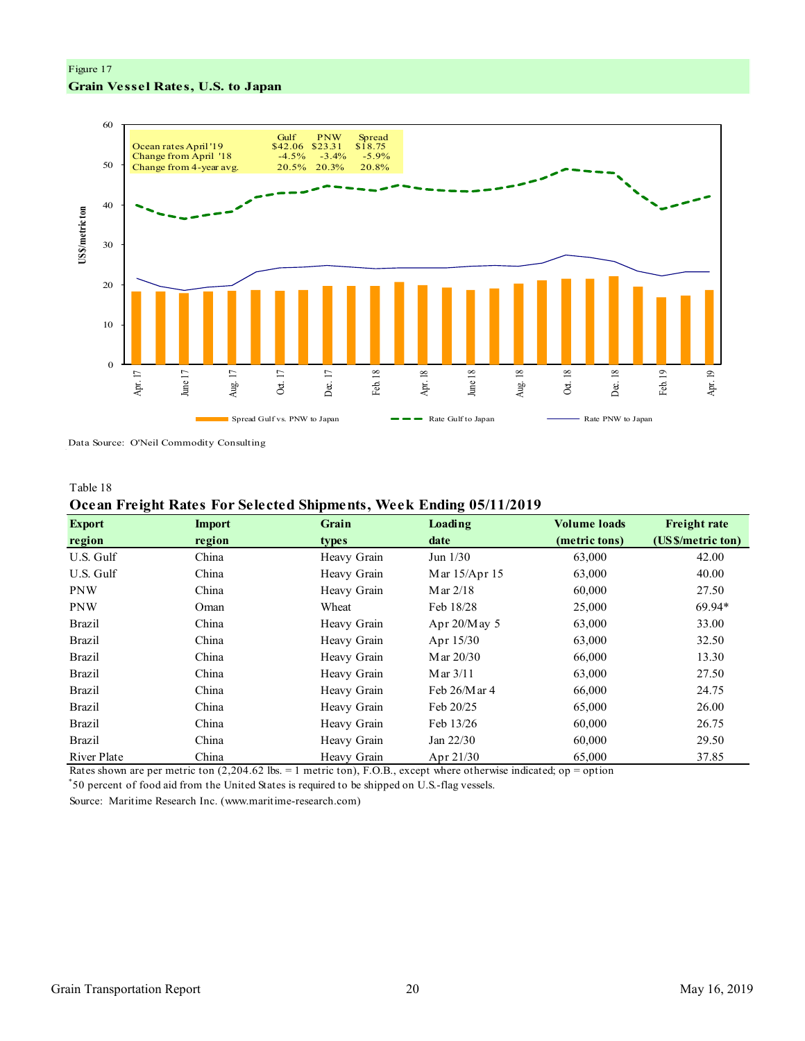# Figure 17 **Grain Vessel Rates, U.S. to Japan**



Data Source: O'Neil Commodity Consulting

#### Table 18

## **Ocean Freight Rates For Selected Shipments, Week Ending 05/11/2019**

| <b>Export</b> | <b>Import</b>     | Grain       | Loading                 | <b>Volume loads</b> | <b>Freight rate</b> |
|---------------|-------------------|-------------|-------------------------|---------------------|---------------------|
| region        | region            | types       | date                    | (metric tons)       | (US \$/metric ton)  |
| U.S. Gulf     | China             | Heavy Grain | Jun $1/30$              | 63,000              | 42.00               |
| U.S. Gulf     | China             | Heavy Grain | Mar 15/Apr 15           | 63,000              | 40.00               |
| <b>PNW</b>    | China             | Heavy Grain | Mar $2/18$              | 60,000              | 27.50               |
| <b>PNW</b>    | Oman              | Wheat       | Feb 18/28               | 25,000              | 69.94*              |
| <b>Brazil</b> | China             | Heavy Grain | Apr $20/M$ ay 5         | 63,000              | 33.00               |
| <b>Brazil</b> | China             | Heavy Grain | Apr 15/30               | 63,000              | 32.50               |
| <b>Brazil</b> | China             | Heavy Grain | M ar 20/30              | 66,000              | 13.30               |
| <b>Brazil</b> | China             | Heavy Grain | Mar $3/11$              | 63,000              | 27.50               |
| <b>Brazil</b> | China             | Heavy Grain | Feb 26/Mar 4            | 66,000              | 24.75               |
| <b>Brazil</b> | China             | Heavy Grain | Feb 20/25               | 65,000              | 26.00               |
| <b>Brazil</b> | China             | Heavy Grain | Feb 13/26               | 60,000              | 26.75               |
| <b>Brazil</b> | China             | Heavy Grain | Jan $22/30$             | 60,000              | 29.50               |
| River Plate   | China<br>(0.0016) | Heavy Grain | Apr $21/30$<br>$\cdots$ | 65,000              | 37.85               |

Rates shown are per metric ton (2,204.62 lbs. = 1 metric ton), F.O.B., except where otherwise indicated; op = option

\* 50 percent of food aid from the United States is required to be shipped on U.S.-flag vessels.

Source: Maritime Research Inc. (www.maritime-research.com)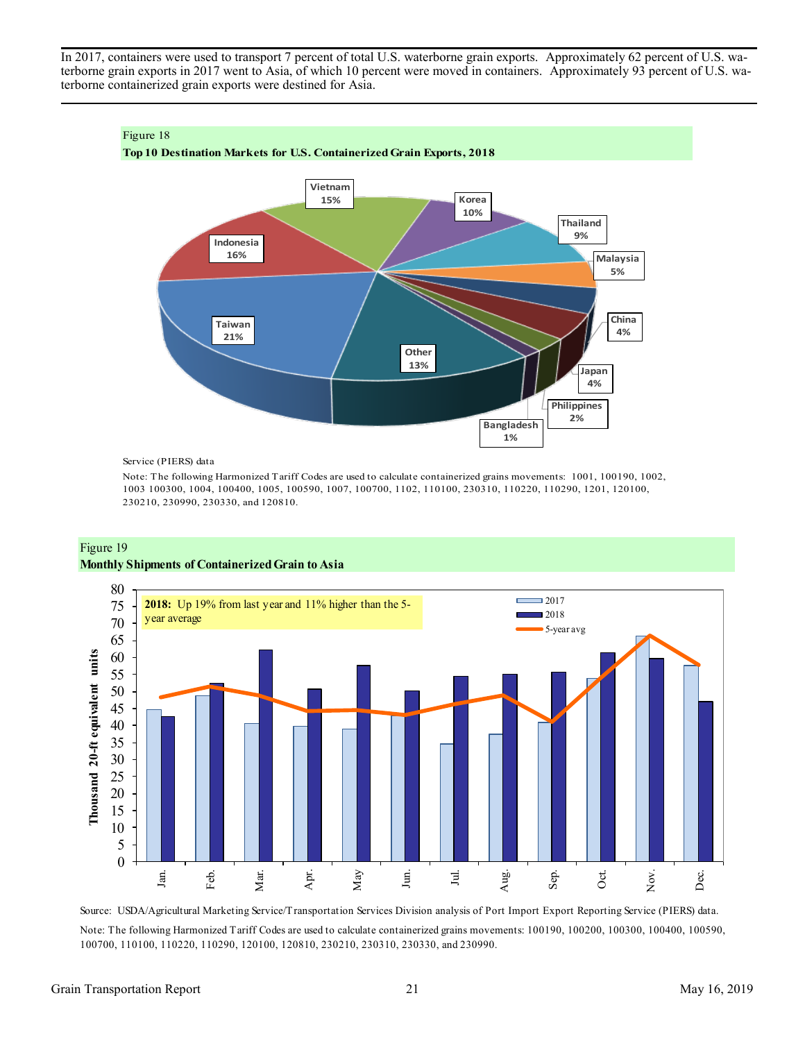In 2017, containers were used to transport 7 percent of total U.S. waterborne grain exports. Approximately 62 percent of U.S. waterborne grain exports in 2017 went to Asia, of which 10 percent were moved in containers. Approximately 93 percent of U.S. waterborne containerized grain exports were destined for Asia.



Service (PIERS) data

Note: The following Harmonized Tariff Codes are used to calculate containerized grains movements: 1001, 100190, 1002, 1003 100300, 1004, 100400, 1005, 100590, 1007, 100700, 1102, 110100, 230310, 110220, 110290, 1201, 120100, 230210, 230990, 230330, and 120810.





Source: USDA/Agricultural Marketing Service/Transportation Services Division analysis of Port Import Export Reporting Service (PIERS) data. Note: The following Harmonized Tariff Codes are used to calculate containerized grains movements: 100190, 100200, 100300, 100400, 100590, 100700, 110100, 110220, 110290, 120100, 120810, 230210, 230310, 230330, and 230990.